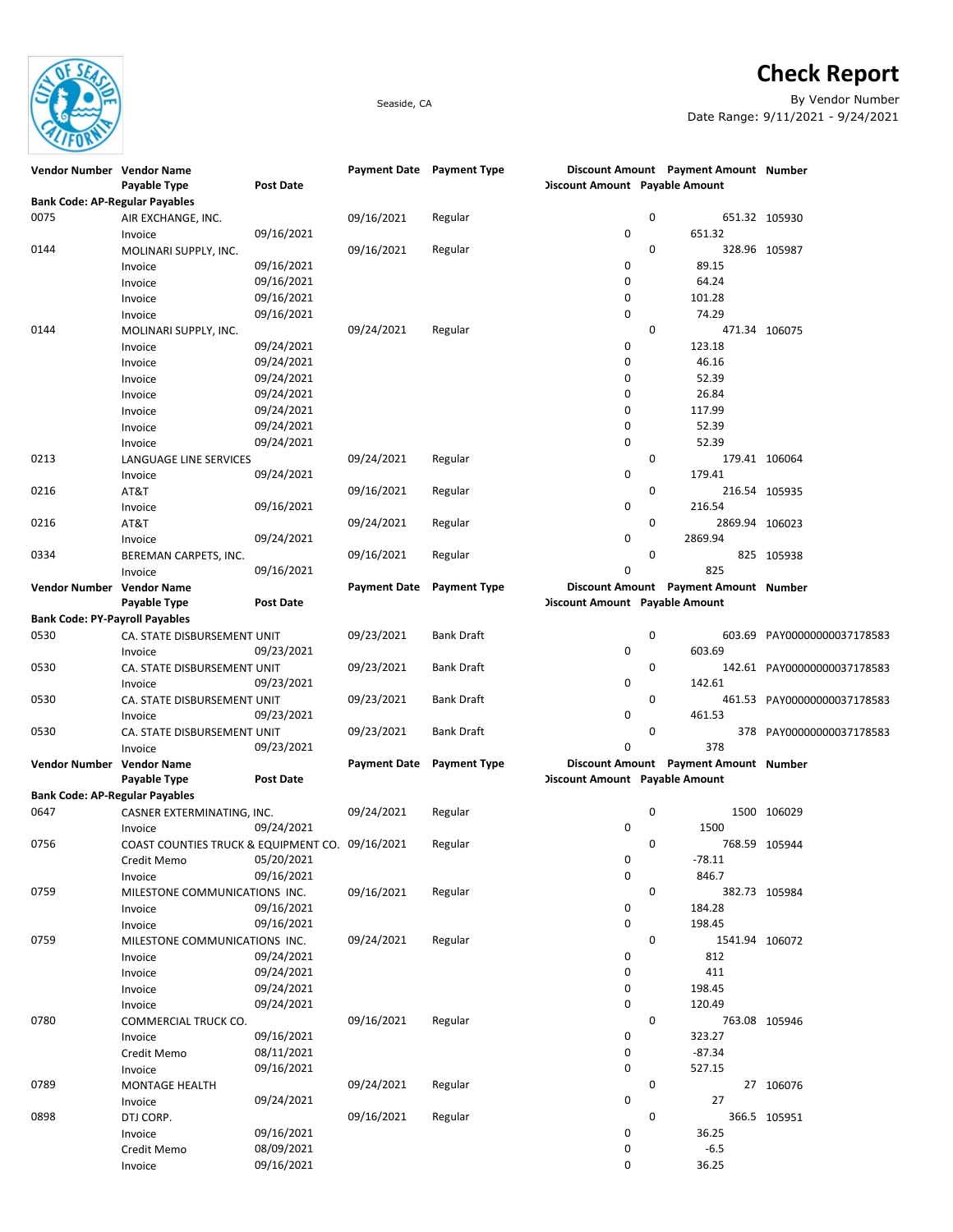

## **Check Report**

Seaside, CA By Vendor Number Date Range: 9/11/2021 - 9/24/2021

| Vendor Number Vendor Name             |                                                 |                  | Payment Date Payment Type |                     |                                       | Discount Amount Payment Amount Number |                             |
|---------------------------------------|-------------------------------------------------|------------------|---------------------------|---------------------|---------------------------------------|---------------------------------------|-----------------------------|
|                                       | Payable Type                                    | <b>Post Date</b> |                           |                     | <b>Discount Amount Payable Amount</b> |                                       |                             |
| <b>Bank Code: AP-Regular Payables</b> |                                                 |                  |                           |                     |                                       |                                       |                             |
| 0075                                  | AIR EXCHANGE, INC.                              |                  | 09/16/2021                | Regular             | 0                                     |                                       | 651.32 105930               |
|                                       | Invoice                                         | 09/16/2021       |                           |                     | 0                                     | 651.32                                |                             |
| 0144                                  | MOLINARI SUPPLY, INC.                           |                  | 09/16/2021                | Regular             | 0                                     |                                       | 328.96 105987               |
|                                       | Invoice                                         | 09/16/2021       |                           |                     | 0                                     | 89.15                                 |                             |
|                                       | Invoice                                         | 09/16/2021       |                           |                     | 0                                     | 64.24                                 |                             |
|                                       | Invoice                                         | 09/16/2021       |                           |                     | 0                                     | 101.28                                |                             |
|                                       | Invoice                                         | 09/16/2021       |                           |                     | 0                                     | 74.29                                 |                             |
| 0144                                  | MOLINARI SUPPLY, INC.                           |                  | 09/24/2021                | Regular             | 0                                     |                                       | 471.34 106075               |
|                                       | Invoice                                         | 09/24/2021       |                           |                     | 0                                     | 123.18                                |                             |
|                                       | Invoice                                         | 09/24/2021       |                           |                     | 0                                     | 46.16                                 |                             |
|                                       | Invoice                                         | 09/24/2021       |                           |                     | 0                                     | 52.39                                 |                             |
|                                       | Invoice                                         | 09/24/2021       |                           |                     | 0                                     | 26.84                                 |                             |
|                                       | Invoice                                         | 09/24/2021       |                           |                     | 0                                     | 117.99                                |                             |
|                                       | Invoice                                         | 09/24/2021       |                           |                     | 0                                     | 52.39                                 |                             |
|                                       | Invoice                                         | 09/24/2021       |                           |                     | 0                                     | 52.39                                 |                             |
| 0213                                  | LANGUAGE LINE SERVICES                          |                  | 09/24/2021                | Regular             | 0                                     |                                       | 179.41 106064               |
|                                       | Invoice                                         | 09/24/2021       |                           |                     | 0                                     | 179.41                                |                             |
| 0216                                  | AT&T                                            |                  | 09/16/2021                | Regular             | 0                                     |                                       | 216.54 105935               |
|                                       | Invoice                                         | 09/16/2021       |                           |                     | 0                                     | 216.54                                |                             |
| 0216                                  | AT&T                                            |                  | 09/24/2021                | Regular             | 0                                     | 2869.94 106023                        |                             |
|                                       | Invoice                                         | 09/24/2021       |                           |                     | 0                                     | 2869.94                               |                             |
| 0334                                  | BEREMAN CARPETS, INC.                           |                  | 09/16/2021                | Regular             | 0                                     |                                       | 825 105938                  |
|                                       | Invoice                                         | 09/16/2021       |                           |                     | 0                                     | 825                                   |                             |
| Vendor Number Vendor Name             |                                                 |                  | Payment Date Payment Type |                     |                                       | Discount Amount Payment Amount Number |                             |
|                                       | Payable Type                                    | <b>Post Date</b> |                           |                     | <b>Discount Amount Payable Amount</b> |                                       |                             |
| <b>Bank Code: PY-Payroll Payables</b> |                                                 |                  |                           |                     |                                       |                                       |                             |
| 0530                                  | CA. STATE DISBURSEMENT UNIT                     |                  | 09/23/2021                | Bank Draft          | 0                                     |                                       | 603.69 PAY00000000037178583 |
|                                       | Invoice                                         | 09/23/2021       |                           |                     | 0                                     | 603.69                                |                             |
| 0530                                  | CA. STATE DISBURSEMENT UNIT                     |                  | 09/23/2021                | Bank Draft          | 0                                     |                                       | 142.61 PAY00000000037178583 |
|                                       | Invoice                                         | 09/23/2021       |                           |                     | 0                                     | 142.61                                |                             |
| 0530                                  |                                                 |                  | 09/23/2021                | Bank Draft          | 0                                     |                                       |                             |
|                                       | CA. STATE DISBURSEMENT UNIT<br>Invoice          | 09/23/2021       |                           |                     | 0                                     | 461.53                                | 461.53 PAY00000000037178583 |
| 0530                                  | CA. STATE DISBURSEMENT UNIT                     |                  | 09/23/2021                | Bank Draft          | 0                                     |                                       | 378 PAY00000000037178583    |
|                                       | Invoice                                         | 09/23/2021       |                           |                     | 0                                     | 378                                   |                             |
| Vendor Number Vendor Name             |                                                 |                  | <b>Payment Date</b>       | <b>Payment Type</b> |                                       | Discount Amount Payment Amount Number |                             |
|                                       | Payable Type                                    | <b>Post Date</b> |                           |                     | <b>Discount Amount Payable Amount</b> |                                       |                             |
| <b>Bank Code: AP-Regular Payables</b> |                                                 |                  |                           |                     |                                       |                                       |                             |
| 0647                                  | CASNER EXTERMINATING, INC.                      |                  | 09/24/2021                | Regular             | 0                                     |                                       | 1500 106029                 |
|                                       |                                                 | 09/24/2021       |                           |                     | 0                                     | 1500                                  |                             |
| 0756                                  | Invoice                                         |                  |                           |                     | 0                                     |                                       | 768.59 105944               |
|                                       | COAST COUNTIES TRUCK & EQUIPMENT CO. 09/16/2021 | 05/20/2021       |                           | Regular             |                                       | $-78.11$                              |                             |
|                                       | Credit Memo                                     | 09/16/2021       |                           |                     | 0<br>0                                | 846.7                                 |                             |
| 0759                                  | Invoice<br>MILESTONE COMMUNICATIONS INC.        |                  | 09/16/2021                |                     | 0                                     |                                       |                             |
|                                       |                                                 | 09/16/2021       |                           | Regular             | 0                                     | 184.28                                | 382.73 105984               |
|                                       | Invoice                                         |                  |                           |                     | 0                                     | 198.45                                |                             |
|                                       | Invoice                                         | 09/16/2021       |                           |                     |                                       |                                       |                             |
| 0759                                  | MILESTONE COMMUNICATIONS INC.                   |                  | 09/24/2021                | Regular             | 0                                     | 1541.94 106072                        |                             |
|                                       | Invoice                                         | 09/24/2021       |                           |                     | 0                                     | 812                                   |                             |
|                                       | Invoice                                         | 09/24/2021       |                           |                     | 0                                     | 411                                   |                             |
|                                       | Invoice                                         | 09/24/2021       |                           |                     | 0                                     | 198.45                                |                             |
|                                       | Invoice                                         | 09/24/2021       |                           |                     | 0                                     | 120.49                                |                             |
| 0780                                  | COMMERCIAL TRUCK CO.                            |                  | 09/16/2021                | Regular             | 0                                     |                                       | 763.08 105946               |
|                                       | Invoice                                         | 09/16/2021       |                           |                     | 0                                     | 323.27                                |                             |
|                                       | Credit Memo                                     | 08/11/2021       |                           |                     | 0                                     | $-87.34$                              |                             |
|                                       | Invoice                                         | 09/16/2021       |                           |                     | 0                                     | 527.15                                |                             |
| 0789                                  | <b>MONTAGE HEALTH</b>                           |                  | 09/24/2021                | Regular             | 0                                     |                                       | 27 106076                   |
|                                       | Invoice                                         | 09/24/2021       |                           |                     | 0                                     | 27                                    |                             |
| 0898                                  | DTJ CORP.                                       |                  | 09/16/2021                | Regular             | 0                                     |                                       | 366.5 105951                |
|                                       | Invoice                                         | 09/16/2021       |                           |                     | 0                                     | 36.25                                 |                             |
|                                       | Credit Memo                                     | 08/09/2021       |                           |                     | 0                                     | $-6.5$                                |                             |
|                                       | Invoice                                         | 09/16/2021       |                           |                     | 0                                     | 36.25                                 |                             |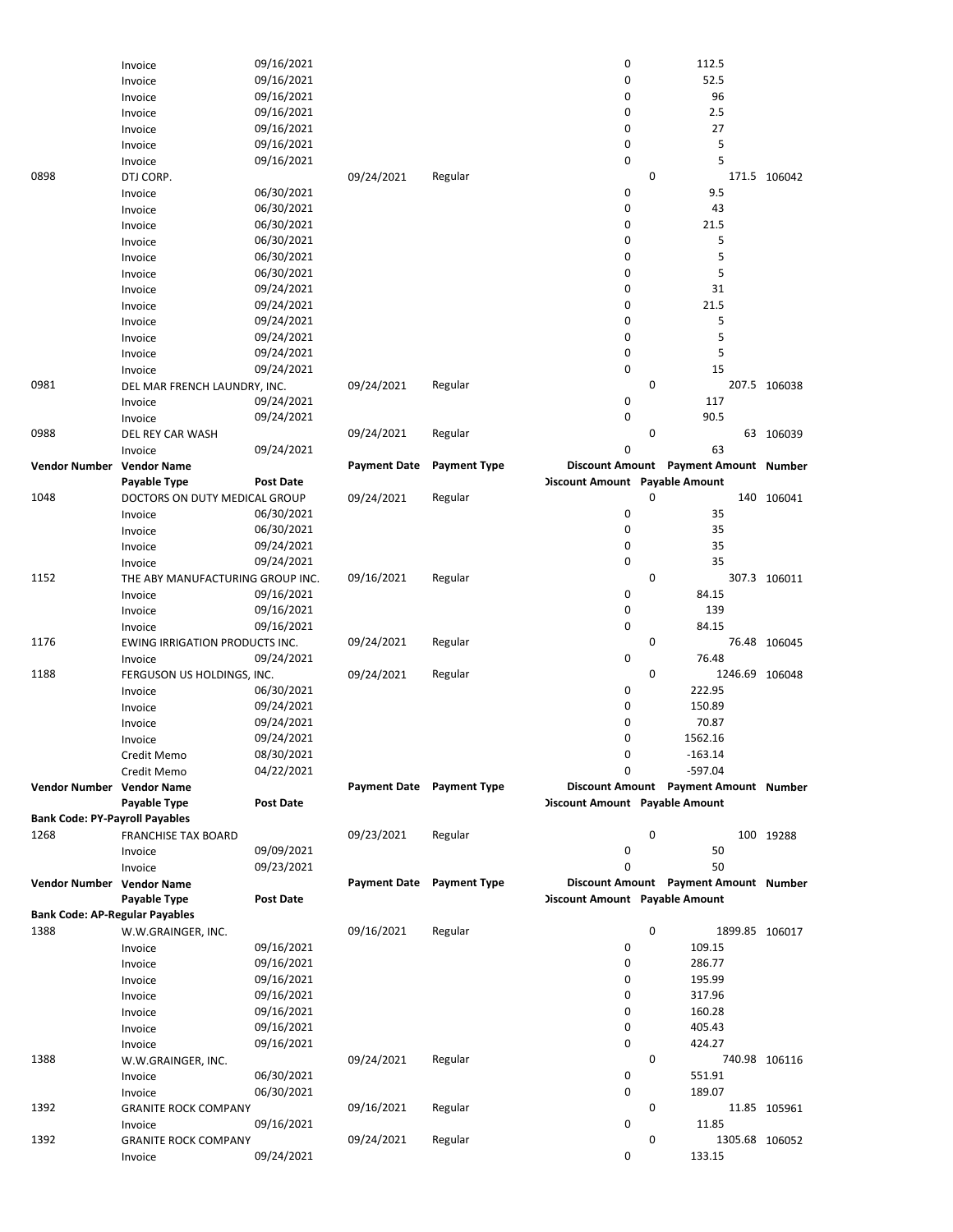|                                       | Invoice                                  | 09/16/2021       |                           |                           | 0                                     |             | 112.5                                 |                |
|---------------------------------------|------------------------------------------|------------------|---------------------------|---------------------------|---------------------------------------|-------------|---------------------------------------|----------------|
|                                       | Invoice                                  | 09/16/2021       |                           |                           | 0                                     |             | 52.5                                  |                |
|                                       | Invoice                                  | 09/16/2021       |                           |                           | 0                                     |             | 96                                    |                |
|                                       | Invoice                                  | 09/16/2021       |                           |                           | 0                                     |             | 2.5                                   |                |
|                                       | Invoice                                  | 09/16/2021       |                           |                           | 0                                     |             | 27                                    |                |
|                                       | Invoice                                  | 09/16/2021       |                           |                           | 0                                     |             | 5                                     |                |
|                                       | Invoice                                  | 09/16/2021       |                           |                           | 0                                     |             | 5                                     |                |
| 0898                                  | DTJ CORP.                                |                  | 09/24/2021                | Regular                   |                                       | 0           |                                       | 171.5 106042   |
|                                       | Invoice                                  | 06/30/2021       |                           |                           | 0                                     |             | 9.5                                   |                |
|                                       | Invoice                                  | 06/30/2021       |                           |                           | 0                                     |             | 43                                    |                |
|                                       | Invoice                                  | 06/30/2021       |                           |                           | 0                                     |             | 21.5                                  |                |
|                                       | Invoice                                  | 06/30/2021       |                           |                           | 0                                     |             | 5                                     |                |
|                                       | Invoice                                  | 06/30/2021       |                           |                           | 0                                     |             | 5                                     |                |
|                                       | Invoice                                  | 06/30/2021       |                           |                           | 0                                     |             | 5                                     |                |
|                                       | Invoice                                  | 09/24/2021       |                           |                           | 0                                     |             | 31                                    |                |
|                                       | Invoice                                  | 09/24/2021       |                           |                           | 0                                     |             | 21.5                                  |                |
|                                       | Invoice                                  | 09/24/2021       |                           |                           | 0                                     |             | 5                                     |                |
|                                       | Invoice                                  | 09/24/2021       |                           |                           | 0                                     |             | 5                                     |                |
|                                       | Invoice                                  | 09/24/2021       |                           |                           | 0                                     |             | 5                                     |                |
|                                       | Invoice                                  | 09/24/2021       |                           |                           | 0                                     |             | 15                                    |                |
| 0981                                  | DEL MAR FRENCH LAUNDRY, INC.             |                  | 09/24/2021                | Regular                   |                                       | 0           |                                       | 207.5 106038   |
|                                       | Invoice                                  | 09/24/2021       |                           |                           | 0<br>0                                |             | 117                                   |                |
|                                       | Invoice                                  | 09/24/2021       |                           |                           |                                       |             | 90.5                                  |                |
| 0988                                  | DEL REY CAR WASH                         |                  | 09/24/2021                | Regular                   | 0                                     | $\mathbf 0$ | 63                                    | 63 106039      |
|                                       | Invoice                                  | 09/24/2021       |                           |                           |                                       |             | Discount Amount Payment Amount Number |                |
| Vendor Number Vendor Name             | Payable Type                             | <b>Post Date</b> | <b>Payment Date</b>       | <b>Payment Type</b>       | <b>Discount Amount</b> Payable Amount |             |                                       |                |
| 1048                                  |                                          |                  | 09/24/2021                | Regular                   |                                       | 0           |                                       | 140 106041     |
|                                       | DOCTORS ON DUTY MEDICAL GROUP<br>Invoice | 06/30/2021       |                           |                           | 0                                     |             | 35                                    |                |
|                                       | Invoice                                  | 06/30/2021       |                           |                           | 0                                     |             | 35                                    |                |
|                                       | Invoice                                  | 09/24/2021       |                           |                           | 0                                     |             | 35                                    |                |
|                                       | Invoice                                  | 09/24/2021       |                           |                           | 0                                     |             | 35                                    |                |
| 1152                                  | THE ABY MANUFACTURING GROUP INC.         |                  | 09/16/2021                | Regular                   |                                       | 0           |                                       | 307.3 106011   |
|                                       | Invoice                                  | 09/16/2021       |                           |                           | 0                                     |             | 84.15                                 |                |
|                                       | Invoice                                  | 09/16/2021       |                           |                           | 0                                     |             | 139                                   |                |
|                                       | Invoice                                  | 09/16/2021       |                           |                           | 0                                     |             | 84.15                                 |                |
| 1176                                  | EWING IRRIGATION PRODUCTS INC.           |                  | 09/24/2021                | Regular                   |                                       | 0           |                                       | 76.48 106045   |
|                                       | Invoice                                  | 09/24/2021       |                           |                           | 0                                     |             | 76.48                                 |                |
| 1188                                  | FERGUSON US HOLDINGS, INC.               |                  | 09/24/2021                | Regular                   |                                       | 0           |                                       | 1246.69 106048 |
|                                       | Invoice                                  | 06/30/2021       |                           |                           | 0                                     |             | 222.95                                |                |
|                                       | Invoice                                  | 09/24/2021       |                           |                           | 0                                     |             | 150.89                                |                |
|                                       | Invoice                                  | 09/24/2021       |                           |                           | 0                                     |             | 70.87                                 |                |
|                                       | Invoice                                  | 09/24/2021       |                           |                           | 0                                     |             | 1562.16                               |                |
|                                       | Credit Memo                              | 08/30/2021       |                           |                           | 0                                     |             | $-163.14$                             |                |
|                                       | Credit Memo                              | 04/22/2021       |                           |                           | 0                                     |             | -597.04                               |                |
| Vendor Number Vendor Name             |                                          |                  | Payment Date Payment Type |                           |                                       |             | Discount Amount Payment Amount Number |                |
|                                       | Payable Type                             | Post Date        |                           |                           | <b>Discount Amount</b> Payable Amount |             |                                       |                |
| <b>Bank Code: PY-Payroll Payables</b> |                                          |                  |                           |                           |                                       |             |                                       |                |
| 1268                                  | <b>FRANCHISE TAX BOARD</b>               |                  | 09/23/2021                | Regular                   |                                       | 0           |                                       | 100 19288      |
|                                       | Invoice                                  | 09/09/2021       |                           |                           | 0                                     |             | 50                                    |                |
|                                       | Invoice                                  | 09/23/2021       |                           |                           | 0                                     |             | 50                                    |                |
| Vendor Number Vendor Name             |                                          |                  |                           | Payment Date Payment Type |                                       |             | Discount Amount Payment Amount Number |                |
|                                       | Payable Type                             | Post Date        |                           |                           | <b>Discount Amount</b> Payable Amount |             |                                       |                |
| <b>Bank Code: AP-Regular Payables</b> |                                          |                  |                           |                           |                                       |             |                                       |                |
| 1388                                  | W.W.GRAINGER, INC.                       |                  | 09/16/2021                | Regular                   |                                       | 0           |                                       | 1899.85 106017 |
|                                       | Invoice                                  | 09/16/2021       |                           |                           | 0                                     |             | 109.15                                |                |
|                                       | Invoice                                  | 09/16/2021       |                           |                           | 0                                     |             | 286.77                                |                |
|                                       | Invoice                                  | 09/16/2021       |                           |                           | 0                                     |             | 195.99                                |                |
|                                       | Invoice                                  | 09/16/2021       |                           |                           | 0                                     |             | 317.96                                |                |
|                                       | Invoice                                  | 09/16/2021       |                           |                           | 0                                     |             | 160.28                                |                |
|                                       | Invoice                                  | 09/16/2021       |                           |                           | 0                                     |             | 405.43                                |                |
|                                       |                                          |                  |                           |                           | 0                                     |             | 424.27                                |                |
|                                       | Invoice                                  | 09/16/2021       |                           |                           |                                       |             |                                       |                |
| 1388                                  | W.W.GRAINGER, INC.                       |                  | 09/24/2021                | Regular                   |                                       | 0           |                                       | 740.98 106116  |
|                                       | Invoice                                  | 06/30/2021       |                           |                           | 0                                     |             | 551.91                                |                |
|                                       | Invoice                                  | 06/30/2021       |                           |                           | 0                                     |             | 189.07                                |                |
| 1392                                  | <b>GRANITE ROCK COMPANY</b>              |                  | 09/16/2021                | Regular                   |                                       | 0           |                                       | 11.85 105961   |
|                                       | Invoice                                  | 09/16/2021       |                           |                           | 0                                     |             | 11.85                                 |                |
| 1392                                  | <b>GRANITE ROCK COMPANY</b><br>Invoice   | 09/24/2021       | 09/24/2021                | Regular                   | 0                                     | 0           | 133.15                                | 1305.68 106052 |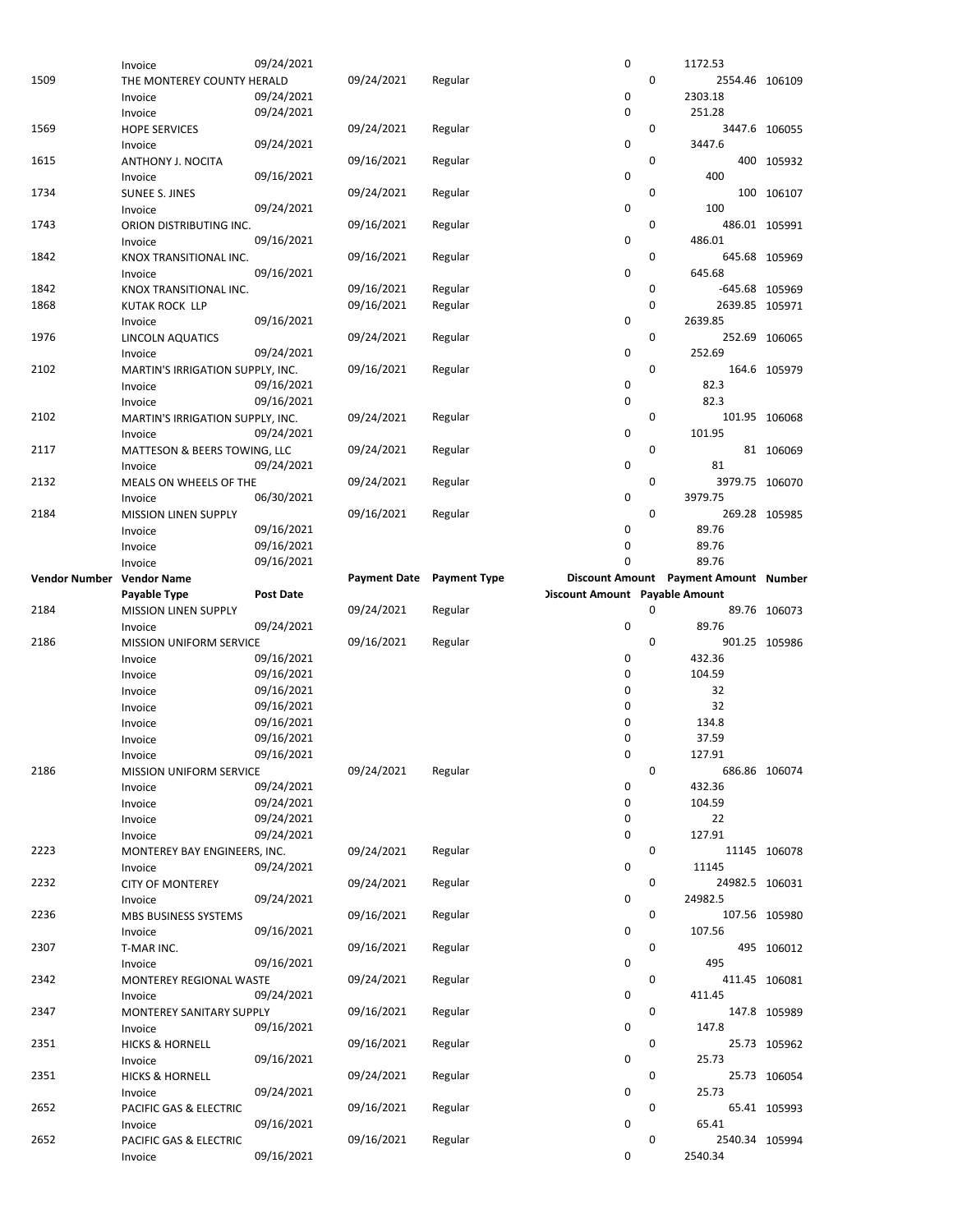|                           | Invoice                           | 09/24/2021 |                     |                     | 0                                     |             | 1172.53                               |               |
|---------------------------|-----------------------------------|------------|---------------------|---------------------|---------------------------------------|-------------|---------------------------------------|---------------|
| 1509                      | THE MONTEREY COUNTY HERALD        |            | 09/24/2021          | Regular             |                                       | $\mathbf 0$ | 2554.46 106109                        |               |
|                           |                                   |            |                     |                     |                                       |             |                                       |               |
|                           | Invoice                           | 09/24/2021 |                     |                     | 0                                     |             | 2303.18                               |               |
|                           | Invoice                           | 09/24/2021 |                     |                     | 0                                     |             | 251.28                                |               |
| 1569                      | <b>HOPE SERVICES</b>              |            | 09/24/2021          |                     |                                       | $\mathbf 0$ |                                       | 3447.6 106055 |
|                           |                                   |            |                     | Regular             |                                       |             |                                       |               |
|                           | Invoice                           | 09/24/2021 |                     |                     | 0                                     |             | 3447.6                                |               |
| 1615                      | ANTHONY J. NOCITA                 |            | 09/16/2021          | Regular             |                                       | 0           |                                       | 400 105932    |
|                           |                                   |            |                     |                     |                                       |             |                                       |               |
|                           | Invoice                           | 09/16/2021 |                     |                     | 0                                     |             | 400                                   |               |
| 1734                      | <b>SUNEE S. JINES</b>             |            | 09/24/2021          | Regular             |                                       | 0           |                                       | 100 106107    |
|                           | Invoice                           | 09/24/2021 |                     |                     | 0                                     |             | 100                                   |               |
|                           |                                   |            |                     |                     |                                       |             |                                       |               |
| 1743                      | ORION DISTRIBUTING INC.           |            | 09/16/2021          | Regular             |                                       | 0           |                                       | 486.01 105991 |
|                           | Invoice                           | 09/16/2021 |                     |                     | 0                                     |             | 486.01                                |               |
|                           |                                   |            |                     |                     |                                       |             |                                       |               |
| 1842                      | KNOX TRANSITIONAL INC.            |            | 09/16/2021          | Regular             |                                       | 0           |                                       | 645.68 105969 |
|                           | Invoice                           | 09/16/2021 |                     |                     | 0                                     |             | 645.68                                |               |
| 1842                      |                                   |            | 09/16/2021          | Regular             |                                       | 0           | -645.68 105969                        |               |
|                           | KNOX TRANSITIONAL INC.            |            |                     |                     |                                       |             |                                       |               |
| 1868                      | <b>KUTAK ROCK LLP</b>             |            | 09/16/2021          | Regular             |                                       | 0           | 2639.85 105971                        |               |
|                           | Invoice                           | 09/16/2021 |                     |                     | 0                                     |             | 2639.85                               |               |
|                           |                                   |            |                     |                     |                                       |             |                                       |               |
| 1976                      | LINCOLN AQUATICS                  |            | 09/24/2021          | Regular             |                                       | 0           |                                       | 252.69 106065 |
|                           | Invoice                           | 09/24/2021 |                     |                     | 0                                     |             | 252.69                                |               |
| 2102                      |                                   |            | 09/16/2021          |                     |                                       | $\mathbf 0$ |                                       | 164.6 105979  |
|                           | MARTIN'S IRRIGATION SUPPLY, INC.  |            |                     | Regular             |                                       |             |                                       |               |
|                           | Invoice                           | 09/16/2021 |                     |                     | 0                                     |             | 82.3                                  |               |
|                           | Invoice                           | 09/16/2021 |                     |                     | 0                                     |             | 82.3                                  |               |
|                           |                                   |            |                     |                     |                                       |             |                                       |               |
| 2102                      | MARTIN'S IRRIGATION SUPPLY, INC.  |            | 09/24/2021          | Regular             |                                       | 0           |                                       | 101.95 106068 |
|                           | Invoice                           | 09/24/2021 |                     |                     | 0                                     |             | 101.95                                |               |
|                           |                                   |            |                     |                     |                                       |             |                                       |               |
| 2117                      | MATTESON & BEERS TOWING, LLC      |            | 09/24/2021          | Regular             |                                       | 0           |                                       | 81 106069     |
|                           | Invoice                           | 09/24/2021 |                     |                     | 0                                     |             | 81                                    |               |
| 2132                      |                                   |            | 09/24/2021          | Regular             |                                       | $\mathbf 0$ | 3979.75 106070                        |               |
|                           | MEALS ON WHEELS OF THE            |            |                     |                     |                                       |             |                                       |               |
|                           | Invoice                           | 06/30/2021 |                     |                     | 0                                     |             | 3979.75                               |               |
| 2184                      | <b>MISSION LINEN SUPPLY</b>       |            | 09/16/2021          | Regular             |                                       | 0           |                                       | 269.28 105985 |
|                           |                                   |            |                     |                     |                                       |             |                                       |               |
|                           | Invoice                           | 09/16/2021 |                     |                     | 0                                     |             | 89.76                                 |               |
|                           | Invoice                           | 09/16/2021 |                     |                     | 0                                     |             | 89.76                                 |               |
|                           |                                   |            |                     |                     | 0                                     |             | 89.76                                 |               |
|                           | Invoice                           | 09/16/2021 |                     |                     |                                       |             |                                       |               |
| Vendor Number Vendor Name |                                   |            | <b>Payment Date</b> | <b>Payment Type</b> |                                       |             | Discount Amount Payment Amount Number |               |
|                           | Payable Type                      | Post Date  |                     |                     | <b>Discount Amount Payable Amount</b> |             |                                       |               |
|                           |                                   |            |                     |                     |                                       |             |                                       |               |
|                           |                                   |            |                     |                     |                                       |             |                                       |               |
| 2184                      | <b>MISSION LINEN SUPPLY</b>       |            | 09/24/2021          | Regular             |                                       | 0           | 89.76 106073                          |               |
|                           |                                   |            |                     |                     |                                       |             |                                       |               |
|                           | Invoice                           | 09/24/2021 |                     |                     | 0                                     |             | 89.76                                 |               |
| 2186                      | <b>MISSION UNIFORM SERVICE</b>    |            | 09/16/2021          | Regular             |                                       | $\mathbf 0$ |                                       | 901.25 105986 |
|                           | Invoice                           | 09/16/2021 |                     |                     | 0                                     |             | 432.36                                |               |
|                           |                                   |            |                     |                     |                                       |             |                                       |               |
|                           | Invoice                           | 09/16/2021 |                     |                     | 0                                     |             | 104.59                                |               |
|                           | Invoice                           | 09/16/2021 |                     |                     | 0                                     |             | 32                                    |               |
|                           |                                   |            |                     |                     |                                       |             |                                       |               |
|                           | Invoice                           | 09/16/2021 |                     |                     | 0                                     |             | 32                                    |               |
|                           | Invoice                           | 09/16/2021 |                     |                     | 0                                     |             | 134.8                                 |               |
|                           | Invoice                           | 09/16/2021 |                     |                     | 0                                     |             | 37.59                                 |               |
|                           |                                   |            |                     |                     |                                       |             |                                       |               |
|                           | Invoice                           | 09/16/2021 |                     |                     | 0                                     |             | 127.91                                |               |
| 2186                      | MISSION UNIFORM SERVICE           |            | 09/24/2021          | Regular             |                                       | 0           |                                       | 686.86 106074 |
|                           |                                   |            |                     |                     |                                       |             |                                       |               |
|                           | Invoice                           | 09/24/2021 |                     |                     | 0                                     |             | 432.36                                |               |
|                           | Invoice                           | 09/24/2021 |                     |                     | 0                                     |             | 104.59                                |               |
|                           |                                   | 09/24/2021 |                     |                     | 0                                     |             | 22                                    |               |
|                           | Invoice                           |            |                     |                     |                                       |             |                                       |               |
|                           | Invoice                           | 09/24/2021 |                     |                     | 0                                     |             | 127.91                                |               |
| 2223                      | MONTEREY BAY ENGINEERS, INC.      |            | 09/24/2021          | Regular             |                                       | 0           |                                       | 11145 106078  |
|                           |                                   |            |                     |                     |                                       |             |                                       |               |
|                           | Invoice                           | 09/24/2021 |                     |                     | 0                                     |             | 11145                                 |               |
| 2232                      | <b>CITY OF MONTEREY</b>           |            | 09/24/2021          | Regular             |                                       | 0           | 24982.5 106031                        |               |
|                           |                                   |            |                     |                     |                                       |             |                                       |               |
|                           | Invoice                           | 09/24/2021 |                     |                     | 0                                     |             | 24982.5                               |               |
| 2236                      | MBS BUSINESS SYSTEMS              |            | 09/16/2021          | Regular             |                                       | 0           |                                       | 107.56 105980 |
|                           | Invoice                           | 09/16/2021 |                     |                     | 0                                     |             | 107.56                                |               |
|                           |                                   |            |                     |                     |                                       |             |                                       |               |
| 2307                      | T-MAR INC.                        |            | 09/16/2021          | Regular             |                                       | 0           |                                       | 495 106012    |
|                           | Invoice                           | 09/16/2021 |                     |                     | 0                                     |             | 495                                   |               |
|                           |                                   |            |                     |                     |                                       |             |                                       |               |
| 2342                      | MONTEREY REGIONAL WASTE           |            | 09/24/2021          | Regular             |                                       | 0           |                                       | 411.45 106081 |
|                           | Invoice                           | 09/24/2021 |                     |                     | 0                                     |             | 411.45                                |               |
| 2347                      | MONTEREY SANITARY SUPPLY          |            | 09/16/2021          | Regular             |                                       | 0           |                                       | 147.8 105989  |
|                           |                                   |            |                     |                     |                                       |             |                                       |               |
|                           | Invoice                           | 09/16/2021 |                     |                     | 0                                     |             | 147.8                                 |               |
| 2351                      | <b>HICKS &amp; HORNELL</b>        |            | 09/16/2021          | Regular             |                                       | 0           |                                       | 25.73 105962  |
|                           |                                   | 09/16/2021 |                     |                     | 0                                     |             | 25.73                                 |               |
|                           | Invoice                           |            |                     |                     |                                       |             |                                       |               |
| 2351                      | <b>HICKS &amp; HORNELL</b>        |            | 09/24/2021          | Regular             |                                       | 0           |                                       | 25.73 106054  |
|                           | Invoice                           | 09/24/2021 |                     |                     | 0                                     |             | 25.73                                 |               |
|                           |                                   |            |                     |                     |                                       |             |                                       |               |
| 2652                      | PACIFIC GAS & ELECTRIC            |            | 09/16/2021          | Regular             |                                       | 0           |                                       | 65.41 105993  |
|                           | Invoice                           | 09/16/2021 |                     |                     | 0                                     |             | 65.41                                 |               |
| 2652                      |                                   |            |                     | Regular             |                                       | 0           |                                       |               |
|                           | PACIFIC GAS & ELECTRIC<br>Invoice | 09/16/2021 | 09/16/2021          |                     | 0                                     |             | 2540.34 105994<br>2540.34             |               |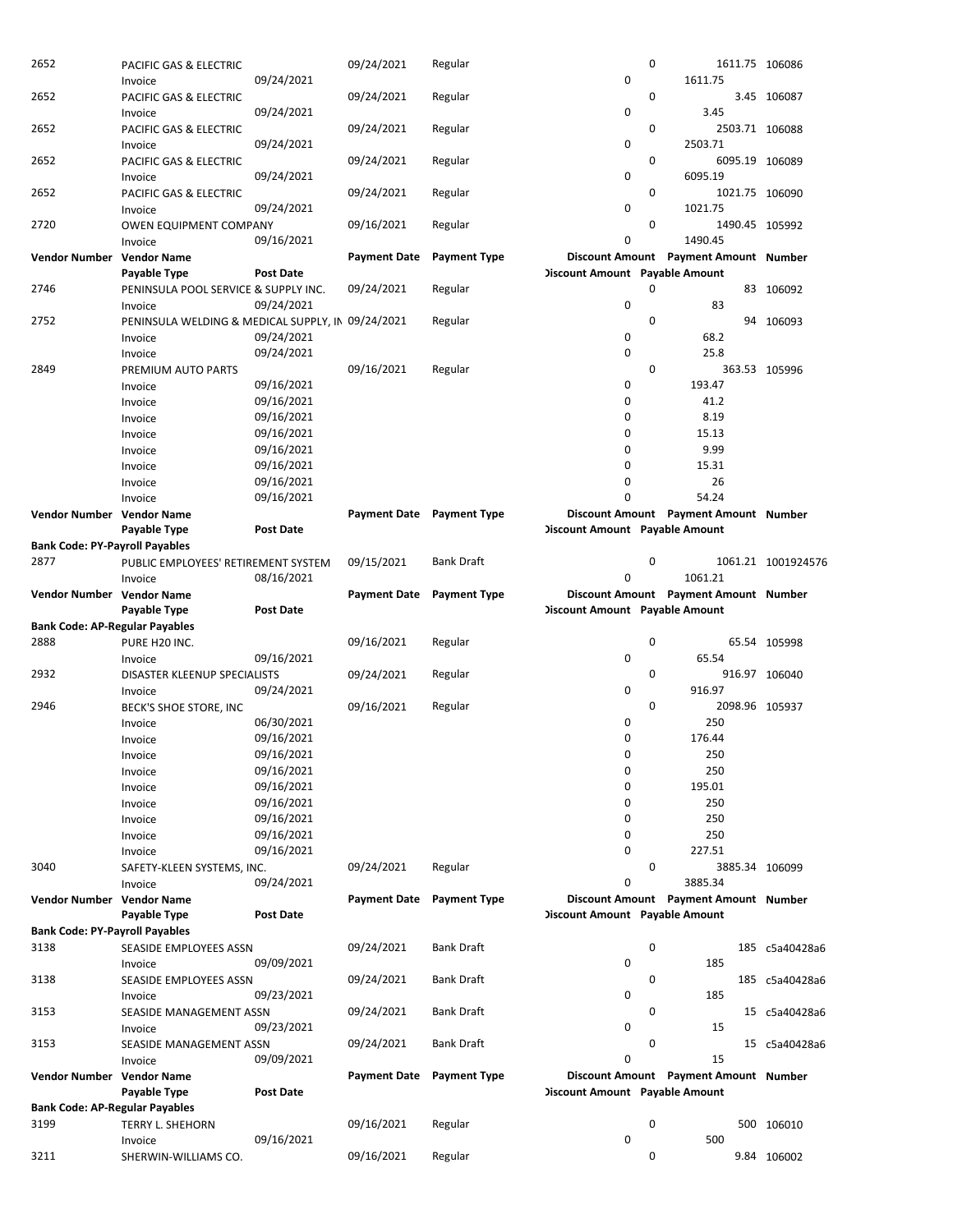| 2652                                  | PACIFIC GAS & ELECTRIC                            |                  | 09/24/2021          | Regular                   |                                       | 0 | 1611.75 106086                        |                    |
|---------------------------------------|---------------------------------------------------|------------------|---------------------|---------------------------|---------------------------------------|---|---------------------------------------|--------------------|
|                                       | Invoice                                           | 09/24/2021       |                     |                           | 0                                     |   | 1611.75                               |                    |
| 2652                                  | PACIFIC GAS & ELECTRIC                            |                  | 09/24/2021          | Regular                   |                                       | 0 |                                       | 3.45 106087        |
|                                       | Invoice                                           | 09/24/2021       |                     |                           | 0                                     |   | 3.45                                  |                    |
| 2652                                  | PACIFIC GAS & ELECTRIC                            |                  | 09/24/2021          | Regular                   |                                       | 0 | 2503.71 106088                        |                    |
|                                       | Invoice                                           | 09/24/2021       |                     |                           | 0                                     |   | 2503.71                               |                    |
| 2652                                  | PACIFIC GAS & ELECTRIC                            |                  | 09/24/2021          | Regular                   | 0                                     | 0 | 6095.19 106089<br>6095.19             |                    |
|                                       | Invoice                                           | 09/24/2021       |                     |                           |                                       | 0 |                                       |                    |
| 2652                                  | PACIFIC GAS & ELECTRIC                            |                  | 09/24/2021          | Regular                   |                                       |   | 1021.75 106090                        |                    |
|                                       | Invoice                                           | 09/24/2021       | 09/16/2021          |                           | 0                                     | 0 | 1021.75<br>1490.45 105992             |                    |
| 2720                                  | <b>OWEN EQUIPMENT COMPANY</b><br>Invoice          | 09/16/2021       |                     | Regular                   | 0                                     |   | 1490.45                               |                    |
| Vendor Number Vendor Name             |                                                   |                  | <b>Payment Date</b> | <b>Payment Type</b>       |                                       |   | Discount Amount Payment Amount Number |                    |
|                                       | Payable Type                                      | <b>Post Date</b> |                     |                           | <b>Discount Amount</b> Payable Amount |   |                                       |                    |
| 2746                                  | PENINSULA POOL SERVICE & SUPPLY INC.              |                  | 09/24/2021          | Regular                   |                                       | 0 |                                       | 83 106092          |
|                                       | Invoice                                           | 09/24/2021       |                     |                           | 0                                     |   | 83                                    |                    |
| 2752                                  | PENINSULA WELDING & MEDICAL SUPPLY, IN 09/24/2021 |                  |                     | Regular                   |                                       | 0 |                                       | 94 106093          |
|                                       | Invoice                                           | 09/24/2021       |                     |                           | 0                                     |   | 68.2                                  |                    |
|                                       | Invoice                                           | 09/24/2021       |                     |                           | 0                                     |   | 25.8                                  |                    |
| 2849                                  | PREMIUM AUTO PARTS                                |                  | 09/16/2021          | Regular                   |                                       | 0 |                                       | 363.53 105996      |
|                                       | Invoice                                           | 09/16/2021       |                     |                           | 0                                     |   | 193.47                                |                    |
|                                       | Invoice                                           | 09/16/2021       |                     |                           | 0                                     |   | 41.2                                  |                    |
|                                       | Invoice                                           | 09/16/2021       |                     |                           | 0                                     |   | 8.19                                  |                    |
|                                       | Invoice                                           | 09/16/2021       |                     |                           | 0                                     |   | 15.13                                 |                    |
|                                       | Invoice                                           | 09/16/2021       |                     |                           | 0                                     |   | 9.99                                  |                    |
|                                       | Invoice                                           | 09/16/2021       |                     |                           | 0                                     |   | 15.31                                 |                    |
|                                       | Invoice                                           | 09/16/2021       |                     |                           | 0                                     |   | 26                                    |                    |
|                                       | Invoice                                           | 09/16/2021       |                     |                           | 0                                     |   | 54.24                                 |                    |
| Vendor Number Vendor Name             |                                                   |                  |                     | Payment Date Payment Type |                                       |   | Discount Amount Payment Amount Number |                    |
|                                       | Payable Type                                      | Post Date        |                     |                           | <b>Discount Amount</b> Payable Amount |   |                                       |                    |
| <b>Bank Code: PY-Payroll Payables</b> |                                                   |                  |                     |                           |                                       |   |                                       |                    |
| 2877                                  | PUBLIC EMPLOYEES' RETIREMENT SYSTEM               |                  | 09/15/2021          | <b>Bank Draft</b>         |                                       | 0 |                                       | 1061.21 1001924576 |
|                                       | Invoice                                           | 08/16/2021       |                     |                           | 0                                     |   | 1061.21                               |                    |
| Vendor Number Vendor Name             |                                                   |                  | Payment Date        | <b>Payment Type</b>       |                                       |   | Discount Amount Payment Amount Number |                    |
|                                       | Payable Type                                      | Post Date        |                     |                           | <b>Discount Amount</b> Payable Amount |   |                                       |                    |
| <b>Bank Code: AP-Regular Payables</b> |                                                   |                  |                     |                           |                                       |   |                                       |                    |
| 2888                                  | PURE H20 INC.                                     |                  | 09/16/2021          | Regular                   |                                       | 0 |                                       | 65.54 105998       |
|                                       | Invoice                                           | 09/16/2021       |                     |                           | 0                                     |   | 65.54                                 |                    |
| 2932                                  | DISASTER KLEENUP SPECIALISTS                      |                  | 09/24/2021          | Regular                   |                                       | 0 |                                       | 916.97 106040      |
|                                       | Invoice                                           | 09/24/2021       |                     |                           | 0                                     |   | 916.97                                |                    |
| 2946                                  | BECK'S SHOE STORE, INC                            |                  | 09/16/2021          | Regular                   |                                       | 0 | 2098.96 105937                        |                    |
|                                       | Invoice                                           | 06/30/2021       |                     |                           | 0                                     |   | 250                                   |                    |
|                                       | Invoice                                           | 09/16/2021       |                     |                           | 0                                     |   | 176.44                                |                    |
|                                       | Invoice                                           | 09/16/2021       |                     |                           | 0                                     |   | 250                                   |                    |
|                                       | Invoice                                           | 09/16/2021       |                     |                           | 0                                     |   | 250                                   |                    |
|                                       | Invoice                                           | 09/16/2021       |                     |                           | 0                                     |   | 195.01                                |                    |
|                                       | Invoice                                           | 09/16/2021       |                     |                           | 0                                     |   | 250                                   |                    |
|                                       | Invoice                                           | 09/16/2021       |                     |                           | 0                                     |   | 250                                   |                    |
|                                       | Invoice                                           | 09/16/2021       |                     |                           | 0                                     |   | 250                                   |                    |
|                                       | Invoice                                           | 09/16/2021       |                     |                           | 0                                     |   | 227.51                                |                    |
| 3040                                  | SAFETY-KLEEN SYSTEMS, INC.                        |                  | 09/24/2021          | Regular                   |                                       | 0 | 3885.34 106099                        |                    |
|                                       | Invoice                                           | 09/24/2021       |                     |                           | 0                                     |   | 3885.34                               |                    |
| Vendor Number Vendor Name             |                                                   |                  | Payment Date        | <b>Payment Type</b>       |                                       |   | Discount Amount Payment Amount Number |                    |
|                                       | Payable Type                                      | Post Date        |                     |                           | <b>Discount Amount</b> Payable Amount |   |                                       |                    |
| <b>Bank Code: PY-Payroll Payables</b> |                                                   |                  |                     |                           |                                       |   |                                       |                    |
| 3138                                  | SEASIDE EMPLOYEES ASSN                            |                  | 09/24/2021          | Bank Draft                |                                       | 0 |                                       | 185 c5a40428a6     |
|                                       | Invoice                                           | 09/09/2021       |                     |                           | 0                                     |   | 185                                   |                    |
| 3138                                  | SEASIDE EMPLOYEES ASSN                            |                  | 09/24/2021          | <b>Bank Draft</b>         |                                       | 0 |                                       | 185 c5a40428a6     |
|                                       | Invoice                                           | 09/23/2021       |                     |                           | 0                                     |   | 185                                   |                    |
| 3153                                  | SEASIDE MANAGEMENT ASSN                           |                  | 09/24/2021          | <b>Bank Draft</b>         |                                       | 0 |                                       | 15 c5a40428a6      |
|                                       | Invoice                                           | 09/23/2021       |                     |                           | 0                                     |   | 15                                    |                    |
| 3153                                  | SEASIDE MANAGEMENT ASSN                           |                  | 09/24/2021          | <b>Bank Draft</b>         |                                       | 0 |                                       | 15 c5a40428a6      |
|                                       | Invoice                                           | 09/09/2021       |                     |                           | 0                                     |   | 15                                    |                    |
| Vendor Number Vendor Name             |                                                   |                  | <b>Payment Date</b> | <b>Payment Type</b>       |                                       |   | Discount Amount Payment Amount Number |                    |
|                                       | Payable Type                                      | Post Date        |                     |                           | <b>Discount Amount</b> Payable Amount |   |                                       |                    |
| <b>Bank Code: AP-Regular Payables</b> |                                                   |                  |                     |                           |                                       |   |                                       |                    |
| 3199                                  | TERRY L. SHEHORN                                  |                  | 09/16/2021          | Regular                   |                                       | 0 |                                       | 500 106010         |
|                                       |                                                   |                  |                     |                           |                                       |   |                                       |                    |
| 3211                                  | Invoice<br>SHERWIN-WILLIAMS CO.                   | 09/16/2021       | 09/16/2021          | Regular                   | 0                                     | 0 | 500                                   | 9.84 106002        |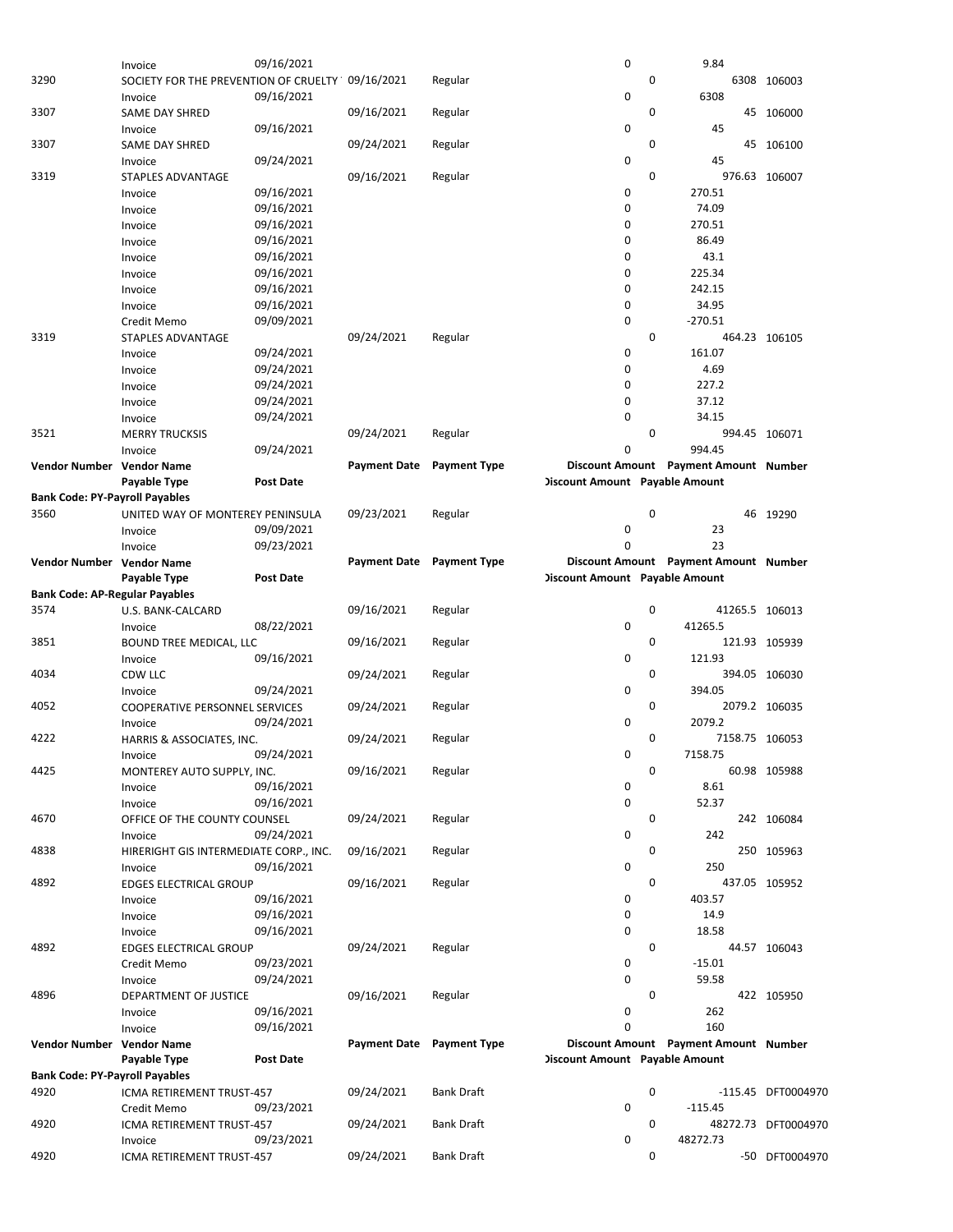| 4896<br>Vendor Number Vendor Name<br><b>Bank Code: PY-Payroll Payables</b><br>4920<br>4920 | Invoice<br>DEPARTMENT OF JUSTICE<br>Invoice<br>Invoice<br>Payable Type<br>ICMA RETIREMENT TRUST-457<br>Credit Memo<br>ICMA RETIREMENT TRUST-457<br>Invoice | 09/24/2021<br>09/16/2021<br>09/16/2021<br>Post Date<br>09/23/2021<br>09/23/2021 | 09/16/2021<br>Payment Date Payment Type<br>09/24/2021<br>09/24/2021 | Regular<br><b>Bank Draft</b><br><b>Bank Draft</b> | 0<br>0<br>$\mathbf 0$<br><b>Discount Amount Payable Amount</b><br>0<br>0 | 0<br>0<br>0 | 59.58<br>262<br>160<br>Discount Amount Payment Amount Number<br>$-115.45$<br>48272.73 | 422 105950<br>-115.45 DFT0004970<br>48272.73 DFT0004970 |
|--------------------------------------------------------------------------------------------|------------------------------------------------------------------------------------------------------------------------------------------------------------|---------------------------------------------------------------------------------|---------------------------------------------------------------------|---------------------------------------------------|--------------------------------------------------------------------------|-------------|---------------------------------------------------------------------------------------|---------------------------------------------------------|
|                                                                                            |                                                                                                                                                            |                                                                                 |                                                                     |                                                   |                                                                          |             |                                                                                       |                                                         |
|                                                                                            |                                                                                                                                                            |                                                                                 |                                                                     |                                                   |                                                                          |             |                                                                                       |                                                         |
|                                                                                            |                                                                                                                                                            |                                                                                 |                                                                     |                                                   |                                                                          |             |                                                                                       |                                                         |
|                                                                                            |                                                                                                                                                            |                                                                                 |                                                                     |                                                   |                                                                          |             |                                                                                       |                                                         |
|                                                                                            |                                                                                                                                                            |                                                                                 |                                                                     |                                                   |                                                                          |             |                                                                                       |                                                         |
|                                                                                            |                                                                                                                                                            |                                                                                 |                                                                     |                                                   |                                                                          |             |                                                                                       |                                                         |
|                                                                                            |                                                                                                                                                            |                                                                                 |                                                                     |                                                   |                                                                          |             |                                                                                       |                                                         |
|                                                                                            |                                                                                                                                                            |                                                                                 |                                                                     |                                                   |                                                                          |             |                                                                                       |                                                         |
|                                                                                            |                                                                                                                                                            |                                                                                 |                                                                     |                                                   |                                                                          |             |                                                                                       |                                                         |
|                                                                                            |                                                                                                                                                            |                                                                                 |                                                                     |                                                   |                                                                          |             |                                                                                       |                                                         |
|                                                                                            |                                                                                                                                                            |                                                                                 |                                                                     |                                                   |                                                                          |             |                                                                                       |                                                         |
|                                                                                            |                                                                                                                                                            |                                                                                 |                                                                     |                                                   |                                                                          |             |                                                                                       |                                                         |
|                                                                                            | Credit Memo                                                                                                                                                | 09/23/2021                                                                      |                                                                     |                                                   | 0                                                                        |             | $-15.01$                                                                              |                                                         |
| 4892                                                                                       | <b>EDGES ELECTRICAL GROUP</b>                                                                                                                              |                                                                                 | 09/24/2021                                                          | Regular                                           |                                                                          | 0           |                                                                                       | 44.57 106043                                            |
|                                                                                            | Invoice                                                                                                                                                    | 09/16/2021                                                                      |                                                                     |                                                   | $\mathbf 0$                                                              |             | 18.58                                                                                 |                                                         |
|                                                                                            | Invoice                                                                                                                                                    | 09/16/2021                                                                      |                                                                     |                                                   | 0                                                                        |             | 14.9                                                                                  |                                                         |
|                                                                                            | Invoice                                                                                                                                                    | 09/16/2021                                                                      |                                                                     |                                                   | 0                                                                        |             | 403.57                                                                                |                                                         |
| 4892                                                                                       | EDGES ELECTRICAL GROUP                                                                                                                                     |                                                                                 | 09/16/2021                                                          | Regular                                           |                                                                          | 0           |                                                                                       | 437.05 105952                                           |
|                                                                                            | Invoice                                                                                                                                                    | 09/16/2021                                                                      |                                                                     |                                                   | 0                                                                        |             | 250                                                                                   |                                                         |
| 4838                                                                                       | HIRERIGHT GIS INTERMEDIATE CORP., INC.                                                                                                                     |                                                                                 | 09/16/2021                                                          | Regular                                           |                                                                          | 0           |                                                                                       | 250 105963                                              |
|                                                                                            |                                                                                                                                                            |                                                                                 |                                                                     |                                                   |                                                                          |             |                                                                                       |                                                         |
|                                                                                            | Invoice                                                                                                                                                    | 09/24/2021                                                                      |                                                                     |                                                   | 0                                                                        |             | 242                                                                                   |                                                         |
| 4670                                                                                       | OFFICE OF THE COUNTY COUNSEL                                                                                                                               |                                                                                 | 09/24/2021                                                          | Regular                                           |                                                                          | 0           |                                                                                       | 242 106084                                              |
|                                                                                            | Invoice                                                                                                                                                    | 09/16/2021                                                                      |                                                                     |                                                   | 0                                                                        |             | 52.37                                                                                 |                                                         |
|                                                                                            | Invoice                                                                                                                                                    | 09/16/2021                                                                      |                                                                     |                                                   | 0                                                                        |             | 8.61                                                                                  |                                                         |
| 4425                                                                                       | MONTEREY AUTO SUPPLY, INC.                                                                                                                                 |                                                                                 | 09/16/2021                                                          | Regular                                           |                                                                          | 0           |                                                                                       | 60.98 105988                                            |
|                                                                                            | Invoice                                                                                                                                                    | 09/24/2021                                                                      |                                                                     |                                                   | 0                                                                        |             | 7158.75                                                                               |                                                         |
| 4222                                                                                       | HARRIS & ASSOCIATES, INC.                                                                                                                                  |                                                                                 | 09/24/2021                                                          | Regular                                           |                                                                          | 0           | 7158.75 106053                                                                        |                                                         |
|                                                                                            | Invoice                                                                                                                                                    | 09/24/2021                                                                      |                                                                     |                                                   | 0                                                                        |             | 2079.2                                                                                |                                                         |
| 4052                                                                                       | COOPERATIVE PERSONNEL SERVICES                                                                                                                             |                                                                                 | 09/24/2021                                                          | Regular                                           |                                                                          | 0           |                                                                                       | 2079.2 106035                                           |
|                                                                                            | Invoice                                                                                                                                                    | 09/24/2021                                                                      |                                                                     |                                                   | 0                                                                        |             | 394.05                                                                                |                                                         |
| 4034                                                                                       | CDW LLC                                                                                                                                                    |                                                                                 | 09/24/2021                                                          | Regular                                           |                                                                          |             |                                                                                       | 394.05 106030                                           |
|                                                                                            | Invoice                                                                                                                                                    |                                                                                 |                                                                     |                                                   |                                                                          | 0           |                                                                                       |                                                         |
|                                                                                            |                                                                                                                                                            | 09/16/2021                                                                      |                                                                     |                                                   | $\mathbf 0$                                                              |             | 121.93                                                                                |                                                         |
| 3851                                                                                       | BOUND TREE MEDICAL, LLC                                                                                                                                    |                                                                                 | 09/16/2021                                                          | Regular                                           |                                                                          | 0           |                                                                                       | 121.93 105939                                           |
|                                                                                            | Invoice                                                                                                                                                    | 08/22/2021                                                                      |                                                                     |                                                   | 0                                                                        |             | 41265.5                                                                               |                                                         |
| 3574                                                                                       | U.S. BANK-CALCARD                                                                                                                                          |                                                                                 | 09/16/2021                                                          | Regular                                           |                                                                          | 0           | 41265.5 106013                                                                        |                                                         |
| <b>Bank Code: AP-Regular Payables</b>                                                      |                                                                                                                                                            |                                                                                 |                                                                     |                                                   |                                                                          |             |                                                                                       |                                                         |
|                                                                                            | Payable Type                                                                                                                                               | Post Date                                                                       |                                                                     |                                                   | <b>Discount Amount Payable Amount</b>                                    |             |                                                                                       |                                                         |
| Vendor Number Vendor Name                                                                  |                                                                                                                                                            |                                                                                 | Payment Date Payment Type                                           |                                                   |                                                                          |             | Discount Amount Payment Amount Number                                                 |                                                         |
|                                                                                            | Invoice                                                                                                                                                    | 09/23/2021                                                                      |                                                                     |                                                   | 0                                                                        |             | 23                                                                                    |                                                         |
|                                                                                            | Invoice                                                                                                                                                    | 09/09/2021                                                                      |                                                                     |                                                   | $\mathbf 0$                                                              |             | 23                                                                                    |                                                         |
| 3560                                                                                       | UNITED WAY OF MONTEREY PENINSULA                                                                                                                           |                                                                                 | 09/23/2021                                                          | Regular                                           |                                                                          | 0           |                                                                                       | 46 19290                                                |
| <b>Bank Code: PY-Payroll Payables</b>                                                      |                                                                                                                                                            |                                                                                 |                                                                     |                                                   |                                                                          |             |                                                                                       |                                                         |
|                                                                                            |                                                                                                                                                            |                                                                                 |                                                                     |                                                   |                                                                          |             |                                                                                       |                                                         |
|                                                                                            | Payable Type                                                                                                                                               | <b>Post Date</b>                                                                |                                                                     |                                                   | <b>Discount Amount Payable Amount</b>                                    |             |                                                                                       |                                                         |
| Vendor Number Vendor Name                                                                  |                                                                                                                                                            |                                                                                 | <b>Payment Date</b>                                                 | <b>Payment Type</b>                               |                                                                          |             | Discount Amount Payment Amount Number                                                 |                                                         |
|                                                                                            | Invoice                                                                                                                                                    | 09/24/2021                                                                      |                                                                     |                                                   | 0                                                                        |             | 994.45                                                                                |                                                         |
| 3521                                                                                       | <b>MERRY TRUCKSIS</b>                                                                                                                                      |                                                                                 | 09/24/2021                                                          | Regular                                           |                                                                          | 0           |                                                                                       | 994.45 106071                                           |
|                                                                                            | Invoice                                                                                                                                                    | 09/24/2021                                                                      |                                                                     |                                                   | $\mathbf 0$                                                              |             | 34.15                                                                                 |                                                         |
|                                                                                            | Invoice                                                                                                                                                    | 09/24/2021                                                                      |                                                                     |                                                   | $\mathbf 0$                                                              |             | 37.12                                                                                 |                                                         |
|                                                                                            | Invoice                                                                                                                                                    | 09/24/2021                                                                      |                                                                     |                                                   | 0                                                                        |             | 227.2                                                                                 |                                                         |
|                                                                                            | Invoice                                                                                                                                                    | 09/24/2021                                                                      |                                                                     |                                                   | 0                                                                        |             | 4.69                                                                                  |                                                         |
|                                                                                            | Invoice                                                                                                                                                    | 09/24/2021                                                                      |                                                                     |                                                   | 0                                                                        |             | 161.07                                                                                |                                                         |
| 3319                                                                                       | STAPLES ADVANTAGE                                                                                                                                          |                                                                                 | 09/24/2021                                                          | Regular                                           |                                                                          | 0           |                                                                                       | 464.23 106105                                           |
|                                                                                            | Credit Memo                                                                                                                                                |                                                                                 |                                                                     |                                                   |                                                                          |             |                                                                                       |                                                         |
|                                                                                            |                                                                                                                                                            | 09/09/2021                                                                      |                                                                     |                                                   | $\mathbf 0$                                                              |             | $-270.51$                                                                             |                                                         |
|                                                                                            | Invoice                                                                                                                                                    | 09/16/2021                                                                      |                                                                     |                                                   | $\mathbf 0$                                                              |             | 34.95                                                                                 |                                                         |
|                                                                                            | Invoice                                                                                                                                                    | 09/16/2021                                                                      |                                                                     |                                                   | 0                                                                        |             | 242.15                                                                                |                                                         |
|                                                                                            | Invoice                                                                                                                                                    | 09/16/2021                                                                      |                                                                     |                                                   | 0                                                                        |             | 225.34                                                                                |                                                         |
|                                                                                            | Invoice                                                                                                                                                    | 09/16/2021                                                                      |                                                                     |                                                   | $\mathbf 0$                                                              |             | 43.1                                                                                  |                                                         |
|                                                                                            | Invoice                                                                                                                                                    | 09/16/2021                                                                      |                                                                     |                                                   | 0                                                                        |             | 86.49                                                                                 |                                                         |
|                                                                                            | Invoice                                                                                                                                                    | 09/16/2021                                                                      |                                                                     |                                                   | 0                                                                        |             | 270.51                                                                                |                                                         |
|                                                                                            | Invoice                                                                                                                                                    | 09/16/2021                                                                      |                                                                     |                                                   | $\mathbf 0$                                                              |             | 74.09                                                                                 |                                                         |
|                                                                                            | Invoice                                                                                                                                                    | 09/16/2021                                                                      |                                                                     |                                                   | $\mathbf 0$                                                              |             | 270.51                                                                                |                                                         |
| 3319                                                                                       | STAPLES ADVANTAGE                                                                                                                                          |                                                                                 | 09/16/2021                                                          | Regular                                           |                                                                          | 0           |                                                                                       | 976.63 106007                                           |
|                                                                                            | Invoice                                                                                                                                                    | 09/24/2021                                                                      |                                                                     |                                                   | $\mathbf 0$                                                              |             | 45                                                                                    |                                                         |
| 3307                                                                                       | <b>SAME DAY SHRED</b>                                                                                                                                      |                                                                                 | 09/24/2021                                                          | Regular                                           |                                                                          | 0           |                                                                                       | 45 106100                                               |
|                                                                                            | Invoice                                                                                                                                                    | 09/16/2021                                                                      |                                                                     |                                                   | $\mathbf 0$                                                              |             | 45                                                                                    |                                                         |
|                                                                                            | <b>SAME DAY SHRED</b>                                                                                                                                      |                                                                                 | 09/16/2021                                                          | Regular                                           |                                                                          |             |                                                                                       | 45 106000                                               |
| 3307                                                                                       |                                                                                                                                                            |                                                                                 |                                                                     |                                                   |                                                                          | 0           |                                                                                       |                                                         |
|                                                                                            | SOCIETY FOR THE PREVENTION OF CRUELTY 09/16/2021<br>Invoice                                                                                                | 09/16/2021                                                                      |                                                                     | Regular                                           | $\mathbf 0$                                                              |             | 6308                                                                                  | 6308 106003                                             |
| 3290                                                                                       |                                                                                                                                                            |                                                                                 |                                                                     |                                                   | 0                                                                        | 0           |                                                                                       |                                                         |
|                                                                                            | Invoice                                                                                                                                                    | 09/16/2021                                                                      |                                                                     |                                                   |                                                                          |             | 9.84                                                                                  |                                                         |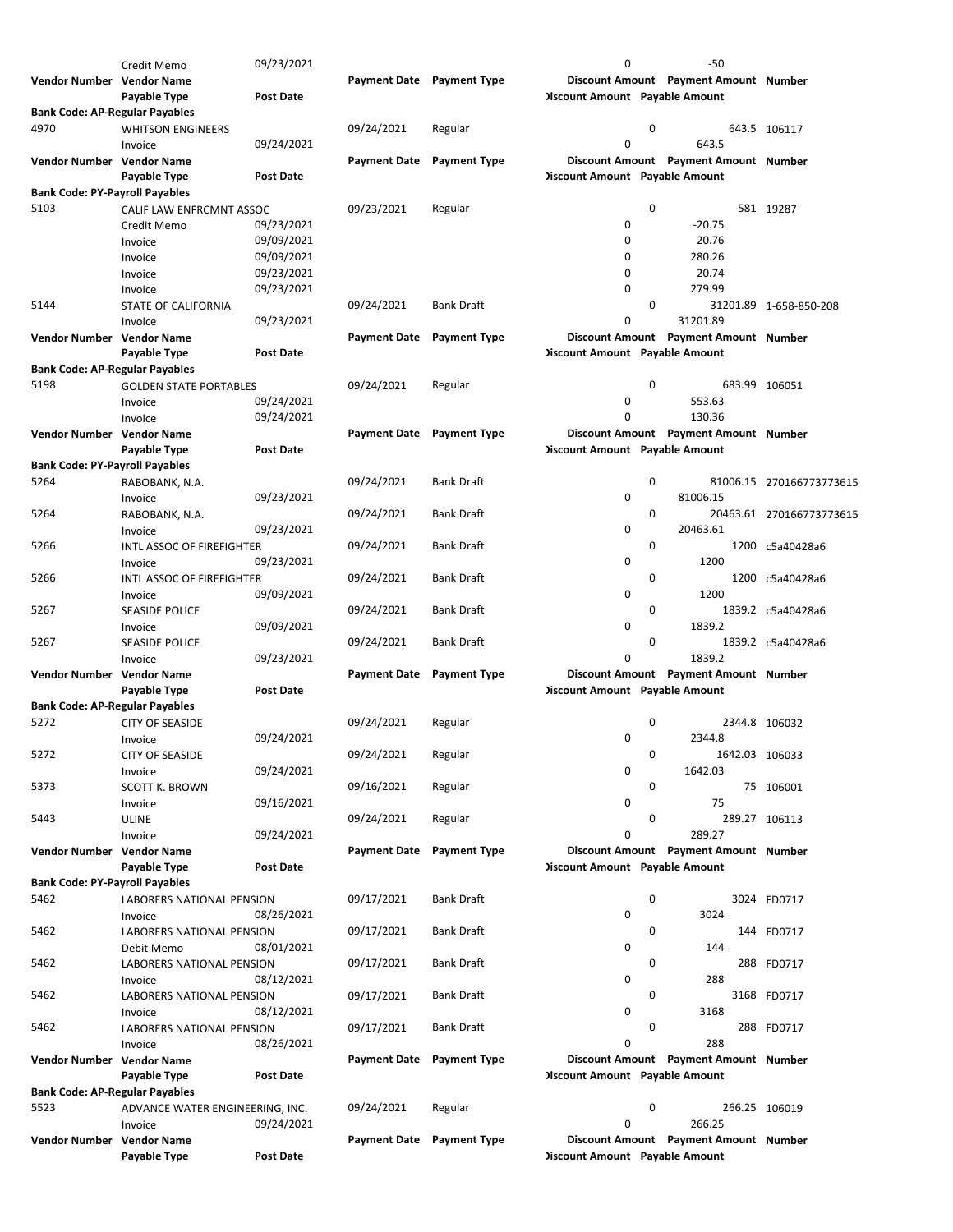| Vendor Number Vendor Name             |                                  |                  |                     | Payment Date Payment Type |                                       | Discount Amount Payment Amount Number |                          |
|---------------------------------------|----------------------------------|------------------|---------------------|---------------------------|---------------------------------------|---------------------------------------|--------------------------|
|                                       |                                  |                  |                     |                           |                                       |                                       |                          |
|                                       | Invoice                          | 09/24/2021       |                     |                           | 0                                     | 266.25                                |                          |
| 5523                                  | ADVANCE WATER ENGINEERING, INC.  |                  | 09/24/2021          | Regular                   | 0                                     |                                       | 266.25 106019            |
| <b>Bank Code: AP-Regular Payables</b> |                                  |                  |                     |                           |                                       |                                       |                          |
|                                       | Payable Type                     | Post Date        |                     |                           | <b>Discount Amount</b> Payable Amount |                                       |                          |
| Vendor Number Vendor Name             |                                  |                  |                     |                           |                                       |                                       |                          |
|                                       |                                  |                  |                     | Payment Date Payment Type |                                       | Discount Amount Payment Amount Number |                          |
|                                       | Invoice                          | 08/26/2021       |                     |                           | 0                                     | 288                                   |                          |
| 5462                                  | LABORERS NATIONAL PENSION        |                  | 09/17/2021          | <b>Bank Draft</b>         | 0                                     |                                       | 288 FD0717               |
|                                       | Invoice                          | 08/12/2021       |                     |                           | 0                                     | 3168                                  |                          |
| 5462                                  | LABORERS NATIONAL PENSION        |                  | 09/17/2021          | Bank Draft                | 0                                     |                                       | 3168 FD0717              |
|                                       | Invoice                          | 08/12/2021       |                     |                           | 0                                     | 288                                   |                          |
| 5462                                  | LABORERS NATIONAL PENSION        |                  | 09/17/2021          | Bank Draft                | 0                                     |                                       | 288 FD0717               |
|                                       | Debit Memo                       |                  |                     |                           |                                       |                                       |                          |
|                                       |                                  | 08/01/2021       |                     |                           | 0                                     | 144                                   |                          |
| 5462                                  | <b>LABORERS NATIONAL PENSION</b> |                  | 09/17/2021          | <b>Bank Draft</b>         | 0                                     |                                       | 144 FD0717               |
|                                       | Invoice                          | 08/26/2021       |                     |                           | 0                                     | 3024                                  |                          |
| 5462                                  | LABORERS NATIONAL PENSION        |                  | 09/17/2021          | <b>Bank Draft</b>         | 0                                     |                                       | 3024 FD0717              |
| <b>Bank Code: PY-Payroll Payables</b> |                                  |                  |                     |                           |                                       |                                       |                          |
|                                       | Payable Type                     | <b>Post Date</b> |                     |                           | <b>Discount Amount</b> Payable Amount |                                       |                          |
| Vendor Number Vendor Name             |                                  |                  |                     | Payment Date Payment Type |                                       | Discount Amount Payment Amount Number |                          |
|                                       |                                  |                  |                     |                           |                                       |                                       |                          |
|                                       | Invoice                          | 09/24/2021       |                     |                           | $\mathbf 0$                           | 289.27                                |                          |
| 5443                                  | <b>ULINE</b>                     |                  | 09/24/2021          | Regular                   | 0                                     |                                       | 289.27 106113            |
|                                       | Invoice                          | 09/16/2021       |                     |                           | 0                                     | 75                                    |                          |
| 5373                                  | SCOTT K. BROWN                   |                  | 09/16/2021          | Regular                   | 0                                     |                                       | 75 106001                |
|                                       |                                  |                  |                     |                           |                                       |                                       |                          |
|                                       | Invoice                          | 09/24/2021       |                     |                           | 0                                     | 1642.03                               |                          |
| 5272                                  | <b>CITY OF SEASIDE</b>           |                  | 09/24/2021          | Regular                   | 0                                     | 1642.03 106033                        |                          |
|                                       | Invoice                          | 09/24/2021       |                     |                           | 0                                     | 2344.8                                |                          |
| 5272                                  | <b>CITY OF SEASIDE</b>           |                  | 09/24/2021          | Regular                   | 0                                     |                                       | 2344.8 106032            |
| <b>Bank Code: AP-Regular Payables</b> |                                  |                  |                     |                           |                                       |                                       |                          |
|                                       | Payable Type                     |                  |                     |                           |                                       |                                       |                          |
|                                       |                                  | <b>Post Date</b> |                     |                           | <b>Discount Amount</b> Payable Amount |                                       |                          |
| Vendor Number Vendor Name             |                                  |                  | <b>Payment Date</b> | <b>Payment Type</b>       |                                       | Discount Amount Payment Amount Number |                          |
|                                       | Invoice                          | 09/23/2021       |                     |                           | $\mathbf 0$                           | 1839.2                                |                          |
| 5267                                  | <b>SEASIDE POLICE</b>            |                  | 09/24/2021          | Bank Draft                | 0                                     |                                       | 1839.2 c5a40428a6        |
|                                       | Invoice                          | 09/09/2021       |                     |                           | 0                                     | 1839.2                                |                          |
|                                       | <b>SEASIDE POLICE</b>            |                  | 09/24/2021          |                           |                                       |                                       |                          |
| 5267                                  |                                  |                  |                     | <b>Bank Draft</b>         | 0                                     |                                       | 1839.2 c5a40428a6        |
|                                       | Invoice                          | 09/09/2021       |                     |                           | 0                                     | 1200                                  |                          |
| 5266                                  | INTL ASSOC OF FIREFIGHTER        |                  | 09/24/2021          | Bank Draft                | 0                                     |                                       | 1200 c5a40428a6          |
|                                       | Invoice                          | 09/23/2021       |                     |                           | $\mathbf 0$                           | 1200                                  |                          |
| 5266                                  | INTL ASSOC OF FIREFIGHTER        |                  | 09/24/2021          | Bank Draft                | 0                                     |                                       | 1200 c5a40428a6          |
|                                       | Invoice                          |                  |                     |                           |                                       |                                       |                          |
|                                       |                                  | 09/23/2021       |                     |                           | 0                                     | 20463.61                              |                          |
| 5264                                  | RABOBANK, N.A.                   |                  | 09/24/2021          | <b>Bank Draft</b>         | 0                                     |                                       | 20463.61 270166773773615 |
|                                       | Invoice                          | 09/23/2021       |                     |                           | 0                                     | 81006.15                              |                          |
| 5264                                  | RABOBANK, N.A.                   |                  | 09/24/2021          | Bank Draft                | 0                                     |                                       | 81006.15 270166773773615 |
| <b>Bank Code: PY-Payroll Payables</b> |                                  |                  |                     |                           |                                       |                                       |                          |
|                                       |                                  |                  |                     |                           |                                       |                                       |                          |
|                                       | Payable Type                     | <b>Post Date</b> |                     |                           | <b>Discount Amount Payable Amount</b> |                                       |                          |
| Vendor Number Vendor Name             |                                  |                  | <b>Payment Date</b> | <b>Payment Type</b>       |                                       | Discount Amount Payment Amount Number |                          |
|                                       | Invoice                          | 09/24/2021       |                     |                           | 0                                     | 130.36                                |                          |
|                                       | Invoice                          | 09/24/2021       |                     |                           | 0                                     | 553.63                                |                          |
|                                       |                                  |                  |                     |                           |                                       |                                       |                          |
| 5198                                  | <b>GOLDEN STATE PORTABLES</b>    |                  | 09/24/2021          | Regular                   | 0                                     |                                       | 683.99 106051            |
| <b>Bank Code: AP-Regular Payables</b> |                                  |                  |                     |                           |                                       |                                       |                          |
|                                       | Payable Type                     | Post Date        |                     |                           | <b>Discount Amount</b> Payable Amount |                                       |                          |
| Vendor Number Vendor Name             |                                  |                  | <b>Payment Date</b> | <b>Payment Type</b>       |                                       | Discount Amount Payment Amount Number |                          |
|                                       | Invoice                          | 09/23/2021       |                     |                           | 0                                     | 31201.89                              |                          |
| 5144                                  | STATE OF CALIFORNIA              |                  | 09/24/2021          | Bank Draft                | $\mathbf 0$                           |                                       | 31201.89 1-658-850-208   |
|                                       | Invoice                          | 09/23/2021       |                     |                           | 0                                     | 279.99                                |                          |
|                                       | Invoice                          | 09/23/2021       |                     |                           |                                       |                                       |                          |
|                                       |                                  |                  |                     |                           | $\mathbf 0$                           | 20.74                                 |                          |
|                                       | Invoice                          | 09/09/2021       |                     |                           | 0                                     | 280.26                                |                          |
|                                       | Invoice                          | 09/09/2021       |                     |                           | 0                                     | 20.76                                 |                          |
|                                       | Credit Memo                      | 09/23/2021       |                     |                           | 0                                     | $-20.75$                              |                          |
| 5103                                  | CALIF LAW ENFRCMNT ASSOC         |                  | 09/23/2021          | Regular                   | 0                                     |                                       | 581 19287                |
| <b>Bank Code: PY-Payroll Payables</b> |                                  |                  |                     |                           |                                       |                                       |                          |
|                                       | Payable Type                     | <b>Post Date</b> |                     |                           | <b>Discount Amount</b> Payable Amount |                                       |                          |
| Vendor Number Vendor Name             |                                  |                  |                     | <b>Payment Type</b>       |                                       | Discount Amount Payment Amount Number |                          |
|                                       |                                  |                  | <b>Payment Date</b> |                           |                                       |                                       |                          |
|                                       | Invoice                          | 09/24/2021       |                     |                           | $\mathbf 0$                           | 643.5                                 |                          |
| 4970                                  | <b>WHITSON ENGINEERS</b>         |                  | 09/24/2021          | Regular                   | 0                                     |                                       | 643.5 106117             |
| <b>Bank Code: AP-Regular Payables</b> |                                  |                  |                     |                           |                                       |                                       |                          |
|                                       | Payable Type                     | <b>Post Date</b> |                     |                           | <b>Discount Amount</b> Payable Amount |                                       |                          |
| Vendor Number Vendor Name             |                                  |                  |                     | Payment Date Payment Type |                                       | Discount Amount Payment Amount Number |                          |
|                                       | Credit Memo                      | 09/23/2021       |                     |                           | 0                                     | $-50$                                 |                          |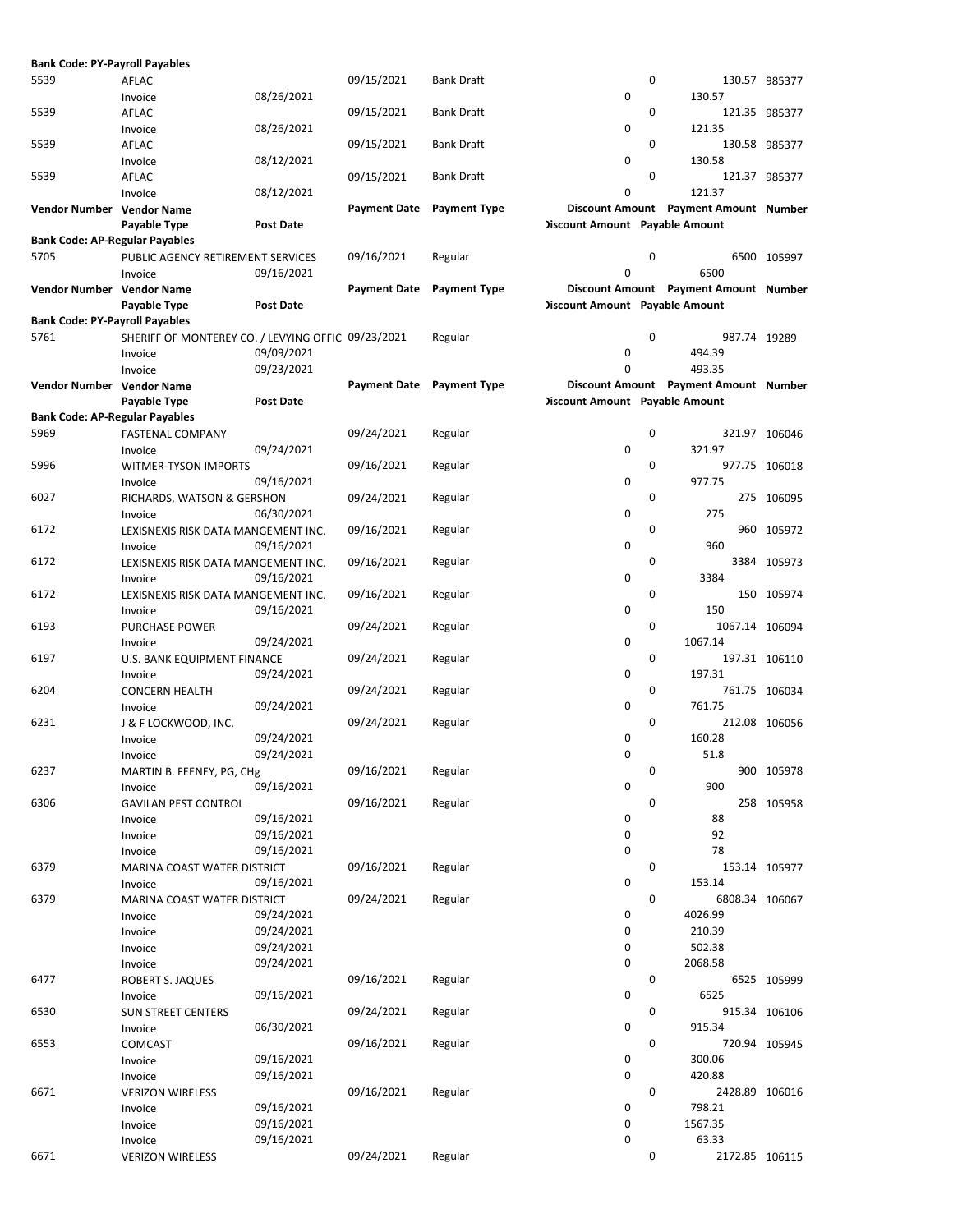| <b>Bank Code: PY-Payroll Payables</b> |                                                    |                  |                     |                     |                                       |          |                                       |               |
|---------------------------------------|----------------------------------------------------|------------------|---------------------|---------------------|---------------------------------------|----------|---------------------------------------|---------------|
| 5539                                  | AFLAC                                              |                  | 09/15/2021          | <b>Bank Draft</b>   |                                       | 0        |                                       | 130.57 985377 |
|                                       | Invoice                                            | 08/26/2021       |                     |                     | $\mathbf 0$                           |          | 130.57                                |               |
| 5539                                  | AFLAC                                              |                  | 09/15/2021          | <b>Bank Draft</b>   |                                       | 0        |                                       | 121.35 985377 |
|                                       | Invoice                                            | 08/26/2021       |                     |                     | $\mathbf 0$                           |          | 121.35                                |               |
| 5539                                  | AFLAC                                              |                  | 09/15/2021          | <b>Bank Draft</b>   |                                       | 0        |                                       | 130.58 985377 |
|                                       | Invoice                                            | 08/12/2021       |                     |                     | $\mathbf 0$                           |          | 130.58                                |               |
| 5539                                  | AFLAC                                              |                  | 09/15/2021          | <b>Bank Draft</b>   |                                       | $\Omega$ |                                       | 121.37 985377 |
|                                       | Invoice                                            | 08/12/2021       |                     |                     | 0                                     |          | 121.37                                |               |
| Vendor Number Vendor Name             |                                                    |                  | <b>Payment Date</b> | <b>Payment Type</b> |                                       |          | Discount Amount Payment Amount Number |               |
|                                       | Payable Type                                       | <b>Post Date</b> |                     |                     | <b>Discount Amount</b> Payable Amount |          |                                       |               |
| <b>Bank Code: AP-Regular Payables</b> |                                                    |                  |                     |                     |                                       |          |                                       |               |
| 5705                                  | PUBLIC AGENCY RETIREMENT SERVICES                  |                  | 09/16/2021          | Regular             |                                       | 0        |                                       | 6500 105997   |
|                                       | Invoice                                            | 09/16/2021       |                     |                     | 0                                     |          | 6500                                  |               |
| Vendor Number Vendor Name             |                                                    |                  | <b>Payment Date</b> | <b>Payment Type</b> |                                       |          | Discount Amount Payment Amount Number |               |
|                                       | Payable Type                                       | <b>Post Date</b> |                     |                     | <b>Discount Amount Payable Amount</b> |          |                                       |               |
| <b>Bank Code: PY-Payroll Payables</b> |                                                    |                  |                     |                     |                                       |          |                                       |               |
| 5761                                  | SHERIFF OF MONTEREY CO. / LEVYING OFFIC 09/23/2021 |                  |                     | Regular             |                                       | 0        | 987.74 19289                          |               |
|                                       | Invoice                                            | 09/09/2021       |                     |                     | $\mathbf 0$                           |          | 494.39                                |               |
|                                       | Invoice                                            | 09/23/2021       |                     |                     | 0                                     |          | 493.35                                |               |
| Vendor Number Vendor Name             |                                                    |                  | <b>Payment Date</b> | <b>Payment Type</b> |                                       |          | Discount Amount Payment Amount Number |               |
|                                       | Payable Type                                       | <b>Post Date</b> |                     |                     | <b>Discount Amount</b> Payable Amount |          |                                       |               |
| <b>Bank Code: AP-Regular Payables</b> |                                                    |                  |                     |                     |                                       |          |                                       |               |
| 5969                                  | <b>FASTENAL COMPANY</b>                            |                  | 09/24/2021          | Regular             |                                       | 0        |                                       | 321.97 106046 |
|                                       | Invoice                                            | 09/24/2021       |                     |                     | $\mathbf 0$                           |          | 321.97                                |               |
| 5996                                  | <b>WITMER-TYSON IMPORTS</b>                        |                  | 09/16/2021          | Regular             |                                       | 0        |                                       | 977.75 106018 |
|                                       | Invoice                                            | 09/16/2021       |                     |                     | $\mathbf 0$                           |          | 977.75                                |               |
| 6027                                  | RICHARDS, WATSON & GERSHON                         |                  | 09/24/2021          | Regular             |                                       | 0        | 275                                   | 106095        |
|                                       | Invoice                                            | 06/30/2021       |                     |                     | $\mathbf 0$                           |          | 275                                   |               |
| 6172                                  | LEXISNEXIS RISK DATA MANGEMENT INC.                |                  | 09/16/2021          | Regular             |                                       | 0        |                                       | 960 105972    |
|                                       | Invoice                                            | 09/16/2021       |                     |                     | $\mathbf 0$                           |          | 960                                   |               |
| 6172                                  | LEXISNEXIS RISK DATA MANGEMENT INC.                |                  | 09/16/2021          | Regular             |                                       | 0        |                                       | 3384 105973   |
|                                       | Invoice                                            | 09/16/2021       |                     |                     | $\mathbf 0$                           |          | 3384                                  |               |
| 6172                                  | LEXISNEXIS RISK DATA MANGEMENT INC.                |                  | 09/16/2021          | Regular             |                                       | 0        |                                       | 150 105974    |
|                                       | Invoice                                            | 09/16/2021       |                     |                     | $\mathbf 0$                           |          | 150                                   |               |
| 6193                                  | <b>PURCHASE POWER</b>                              |                  | 09/24/2021          | Regular             |                                       | 0        | 1067.14 106094                        |               |
|                                       | Invoice                                            | 09/24/2021       |                     |                     | $\mathbf 0$                           |          | 1067.14                               |               |
| 6197                                  | U.S. BANK EQUIPMENT FINANCE                        |                  | 09/24/2021          | Regular             |                                       | 0        |                                       | 197.31 106110 |
|                                       | Invoice                                            | 09/24/2021       |                     |                     | $\mathbf 0$                           |          | 197.31                                |               |
| 6204                                  | <b>CONCERN HEALTH</b>                              |                  | 09/24/2021          | Regular             |                                       | 0        |                                       | 761.75 106034 |
|                                       | Invoice                                            | 09/24/2021       |                     |                     | $\mathbf 0$                           |          | 761.75                                |               |
| 6231                                  | J & F LOCKWOOD, INC.                               |                  | 09/24/2021          | Regular             |                                       | 0        |                                       | 212.08 106056 |
|                                       | Invoice                                            | 09/24/2021       |                     |                     | $\Omega$                              |          | 160.28                                |               |
|                                       | Invoice                                            | 09/24/2021       |                     |                     | 0                                     |          | 51.8                                  |               |
| 6237                                  | MARTIN B. FEENEY, PG, CHg                          |                  | 09/16/2021          | Regular             |                                       | 0        |                                       | 900 105978    |
|                                       | Invoice                                            | 09/16/2021       |                     |                     | $\mathbf 0$                           |          | 900                                   |               |
| 6306                                  | <b>GAVILAN PEST CONTROL</b>                        |                  | 09/16/2021          | Regular             |                                       | 0        |                                       | 258 105958    |
|                                       | Invoice                                            | 09/16/2021       |                     |                     | 0                                     |          | 88                                    |               |
|                                       | Invoice                                            | 09/16/2021       |                     |                     | 0                                     |          | 92                                    |               |
|                                       | Invoice                                            | 09/16/2021       |                     |                     | $\mathbf 0$                           |          | 78                                    |               |
| 6379                                  | MARINA COAST WATER DISTRICT                        |                  | 09/16/2021          | Regular             |                                       | 0        |                                       | 153.14 105977 |
|                                       | Invoice                                            | 09/16/2021       |                     |                     | $\mathbf 0$                           |          | 153.14                                |               |
| 6379                                  | MARINA COAST WATER DISTRICT                        |                  | 09/24/2021          | Regular             |                                       | 0        | 6808.34 106067                        |               |
|                                       | Invoice                                            | 09/24/2021       |                     |                     | $\mathbf 0$                           |          | 4026.99                               |               |
|                                       | Invoice                                            | 09/24/2021       |                     |                     | $\mathbf 0$                           |          | 210.39                                |               |
|                                       | Invoice                                            | 09/24/2021       |                     |                     | $\mathbf 0$                           |          | 502.38                                |               |
|                                       | Invoice                                            | 09/24/2021       |                     |                     | $\mathbf 0$                           |          | 2068.58                               |               |
| 6477                                  | ROBERT S. JAQUES                                   |                  | 09/16/2021          | Regular             |                                       | 0        |                                       | 6525 105999   |
|                                       | Invoice                                            | 09/16/2021       |                     |                     | 0                                     |          | 6525                                  |               |
| 6530                                  | <b>SUN STREET CENTERS</b>                          |                  | 09/24/2021          | Regular             |                                       | 0        |                                       | 915.34 106106 |
|                                       | Invoice                                            | 06/30/2021       |                     |                     | $\mathbf 0$                           |          | 915.34                                |               |
| 6553                                  | <b>COMCAST</b>                                     |                  | 09/16/2021          | Regular             |                                       | 0        |                                       | 720.94 105945 |
|                                       | Invoice                                            | 09/16/2021       |                     |                     | 0                                     |          | 300.06                                |               |
|                                       | Invoice                                            | 09/16/2021       |                     |                     | $\mathbf 0$                           |          | 420.88                                |               |
| 6671                                  | <b>VERIZON WIRELESS</b>                            |                  | 09/16/2021          | Regular             |                                       | 0        | 2428.89 106016                        |               |
|                                       | Invoice                                            | 09/16/2021       |                     |                     | 0                                     |          | 798.21                                |               |
|                                       | Invoice                                            | 09/16/2021       |                     |                     | $\mathbf 0$                           |          | 1567.35                               |               |
|                                       | Invoice                                            | 09/16/2021       |                     |                     | $\mathbf 0$                           |          | 63.33                                 |               |
| 6671                                  | <b>VERIZON WIRELESS</b>                            |                  | 09/24/2021          | Regular             |                                       | 0        | 2172.85 106115                        |               |
|                                       |                                                    |                  |                     |                     |                                       |          |                                       |               |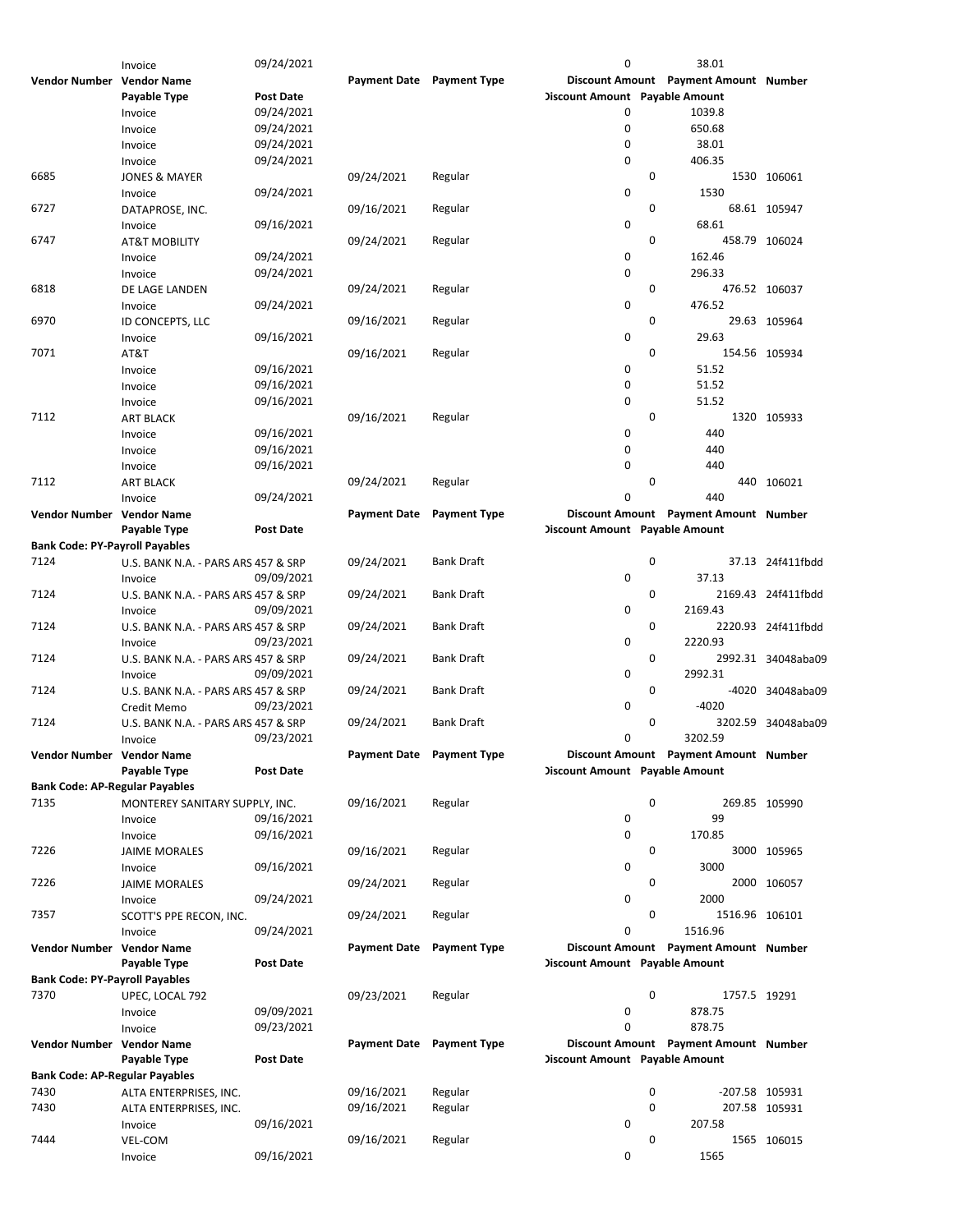|                                       | Invoice                             | 09/24/2021       |                           |                     | $\mathbf 0$                           |             | 38.01                                 |                    |
|---------------------------------------|-------------------------------------|------------------|---------------------------|---------------------|---------------------------------------|-------------|---------------------------------------|--------------------|
| Vendor Number Vendor Name             |                                     |                  | Payment Date Payment Type |                     |                                       |             | Discount Amount Payment Amount Number |                    |
|                                       | Payable Type                        | Post Date        |                           |                     | <b>Discount Amount Payable Amount</b> |             |                                       |                    |
|                                       | Invoice                             | 09/24/2021       |                           |                     | 0                                     |             | 1039.8                                |                    |
|                                       | Invoice                             | 09/24/2021       |                           |                     | 0                                     |             | 650.68                                |                    |
|                                       | Invoice                             | 09/24/2021       |                           |                     | $\mathbf 0$                           |             | 38.01                                 |                    |
|                                       | Invoice                             | 09/24/2021       |                           |                     | 0                                     |             | 406.35                                |                    |
| 6685                                  | <b>JONES &amp; MAYER</b>            |                  | 09/24/2021                | Regular             |                                       | 0           |                                       | 1530 106061        |
|                                       |                                     | 09/24/2021       |                           |                     | 0                                     |             | 1530                                  |                    |
|                                       | Invoice                             |                  |                           |                     |                                       | 0           |                                       | 68.61 105947       |
| 6727                                  | DATAPROSE, INC.                     |                  | 09/16/2021                | Regular             |                                       |             |                                       |                    |
|                                       | Invoice                             | 09/16/2021       |                           |                     | 0                                     |             | 68.61                                 |                    |
| 6747                                  | <b>AT&amp;T MOBILITY</b>            |                  | 09/24/2021                | Regular             |                                       | 0           |                                       | 458.79 106024      |
|                                       | Invoice                             | 09/24/2021       |                           |                     | 0                                     |             | 162.46                                |                    |
|                                       | Invoice                             | 09/24/2021       |                           |                     | 0                                     |             | 296.33                                |                    |
| 6818                                  | DE LAGE LANDEN                      |                  | 09/24/2021                | Regular             |                                       | 0           |                                       | 476.52 106037      |
|                                       | Invoice                             | 09/24/2021       |                           |                     | 0                                     |             | 476.52                                |                    |
| 6970                                  | ID CONCEPTS, LLC                    |                  | 09/16/2021                | Regular             |                                       | 0           |                                       | 29.63 105964       |
|                                       | Invoice                             | 09/16/2021       |                           |                     | 0                                     |             | 29.63                                 |                    |
| 7071                                  | AT&T                                |                  | 09/16/2021                | Regular             |                                       | 0           |                                       | 154.56 105934      |
|                                       | Invoice                             | 09/16/2021       |                           |                     | 0                                     |             | 51.52                                 |                    |
|                                       |                                     |                  |                           |                     | 0                                     |             | 51.52                                 |                    |
|                                       | Invoice                             | 09/16/2021       |                           |                     |                                       |             |                                       |                    |
|                                       | Invoice                             | 09/16/2021       |                           |                     | $\mathbf 0$                           |             | 51.52                                 |                    |
| 7112                                  | <b>ART BLACK</b>                    |                  | 09/16/2021                | Regular             |                                       | $\mathbf 0$ |                                       | 1320 105933        |
|                                       | Invoice                             | 09/16/2021       |                           |                     | 0                                     |             | 440                                   |                    |
|                                       | Invoice                             | 09/16/2021       |                           |                     | 0                                     |             | 440                                   |                    |
|                                       | Invoice                             | 09/16/2021       |                           |                     | 0                                     |             | 440                                   |                    |
| 7112                                  | <b>ART BLACK</b>                    |                  | 09/24/2021                | Regular             |                                       | 0           |                                       | 440 106021         |
|                                       | Invoice                             | 09/24/2021       |                           |                     | 0                                     |             | 440                                   |                    |
| Vendor Number Vendor Name             |                                     |                  | <b>Payment Date</b>       | <b>Payment Type</b> |                                       |             | Discount Amount Payment Amount Number |                    |
|                                       | Payable Type                        | Post Date        |                           |                     | <b>Discount Amount Payable Amount</b> |             |                                       |                    |
| <b>Bank Code: PY-Payroll Payables</b> |                                     |                  |                           |                     |                                       |             |                                       |                    |
|                                       |                                     |                  |                           |                     |                                       |             |                                       |                    |
| 7124                                  | U.S. BANK N.A. - PARS ARS 457 & SRP |                  | 09/24/2021                | <b>Bank Draft</b>   |                                       | $\mathbf 0$ |                                       | 37.13 24f411fbdd   |
|                                       | Invoice                             | 09/09/2021       |                           |                     | 0                                     |             | 37.13                                 |                    |
| 7124                                  | U.S. BANK N.A. - PARS ARS 457 & SRP |                  | 09/24/2021                | <b>Bank Draft</b>   |                                       | 0           |                                       | 2169.43 24f411fbdd |
|                                       | Invoice                             | 09/09/2021       |                           |                     | 0                                     |             | 2169.43                               |                    |
| 7124                                  | U.S. BANK N.A. - PARS ARS 457 & SRP |                  | 09/24/2021                | Bank Draft          |                                       | 0           |                                       | 2220.93 24f411fbdd |
|                                       | Invoice                             | 09/23/2021       |                           |                     | 0                                     |             | 2220.93                               |                    |
| 7124                                  | U.S. BANK N.A. - PARS ARS 457 & SRP |                  | 09/24/2021                | <b>Bank Draft</b>   |                                       | 0           |                                       | 2992.31 34048aba09 |
|                                       | Invoice                             | 09/09/2021       |                           |                     | 0                                     |             | 2992.31                               |                    |
| 7124                                  | U.S. BANK N.A. - PARS ARS 457 & SRP |                  | 09/24/2021                | <b>Bank Draft</b>   |                                       | 0           |                                       | -4020 34048aba09   |
|                                       |                                     |                  |                           |                     | 0                                     |             | $-4020$                               |                    |
|                                       | Credit Memo                         | 09/23/2021       |                           |                     |                                       |             |                                       |                    |
| 7124                                  | U.S. BANK N.A. - PARS ARS 457 & SRP |                  | 09/24/2021                | <b>Bank Draft</b>   |                                       | 0           |                                       | 3202.59 34048aba09 |
|                                       | Invoice                             | 09/23/2021       |                           |                     | 0                                     |             | 3202.59                               |                    |
| Vendor Number Vendor Name             |                                     |                  | Payment Date Payment Type |                     |                                       |             | Discount Amount Payment Amount Number |                    |
|                                       | Payable Type                        | Post Date        |                           |                     | <b>Discount Amount</b> Payable Amount |             |                                       |                    |
| <b>Bank Code: AP-Regular Payables</b> |                                     |                  |                           |                     |                                       |             |                                       |                    |
| 7135                                  | MONTEREY SANITARY SUPPLY, INC.      |                  | 09/16/2021                | Regular             |                                       | 0           |                                       | 269.85 105990      |
|                                       | Invoice                             | 09/16/2021       |                           |                     | 0                                     |             | 99                                    |                    |
|                                       | Invoice                             | 09/16/2021       |                           |                     | 0                                     |             | 170.85                                |                    |
| 7226                                  | <b>JAIME MORALES</b>                |                  | 09/16/2021                | Regular             |                                       | 0           |                                       | 3000 105965        |
|                                       | Invoice                             | 09/16/2021       |                           |                     | 0                                     |             | 3000                                  |                    |
| 7226                                  |                                     |                  | 09/24/2021                | Regular             |                                       | 0           |                                       | 2000 106057        |
|                                       | <b>JAIME MORALES</b>                |                  |                           |                     |                                       |             | 2000                                  |                    |
|                                       | Invoice                             | 09/24/2021       |                           |                     | 0                                     |             |                                       |                    |
| 7357                                  | SCOTT'S PPE RECON, INC.             |                  | 09/24/2021                | Regular             |                                       | 0           | 1516.96 106101                        |                    |
|                                       | Invoice                             | 09/24/2021       |                           |                     | 0                                     |             | 1516.96                               |                    |
| Vendor Number Vendor Name             |                                     |                  |                           |                     |                                       |             |                                       |                    |
|                                       |                                     |                  | <b>Payment Date</b>       | <b>Payment Type</b> |                                       |             | Discount Amount Payment Amount Number |                    |
|                                       | Payable Type                        | <b>Post Date</b> |                           |                     | <b>Discount Amount</b> Payable Amount |             |                                       |                    |
| <b>Bank Code: PY-Payroll Payables</b> |                                     |                  |                           |                     |                                       |             |                                       |                    |
| 7370                                  | UPEC, LOCAL 792                     |                  | 09/23/2021                | Regular             |                                       | 0           | 1757.5 19291                          |                    |
|                                       | Invoice                             | 09/09/2021       |                           |                     | 0                                     |             | 878.75                                |                    |
|                                       |                                     |                  |                           |                     | $\Omega$                              |             | 878.75                                |                    |
|                                       | Invoice                             | 09/23/2021       |                           |                     |                                       |             |                                       |                    |
| Vendor Number Vendor Name             |                                     |                  | Payment Date Payment Type |                     |                                       |             | Discount Amount Payment Amount Number |                    |
|                                       | Payable Type                        | Post Date        |                           |                     | <b>Discount Amount</b> Payable Amount |             |                                       |                    |
| <b>Bank Code: AP-Regular Payables</b> |                                     |                  |                           |                     |                                       |             |                                       |                    |
| 7430                                  | ALTA ENTERPRISES, INC.              |                  | 09/16/2021                | Regular             |                                       | 0           | -207.58 105931                        |                    |
| 7430                                  | ALTA ENTERPRISES, INC.              |                  | 09/16/2021                | Regular             |                                       | 0           |                                       | 207.58 105931      |
|                                       | Invoice                             | 09/16/2021       |                           |                     | 0                                     |             | 207.58                                |                    |
| 7444                                  | VEL-COM                             |                  | 09/16/2021                | Regular             |                                       | 0           |                                       | 1565 106015        |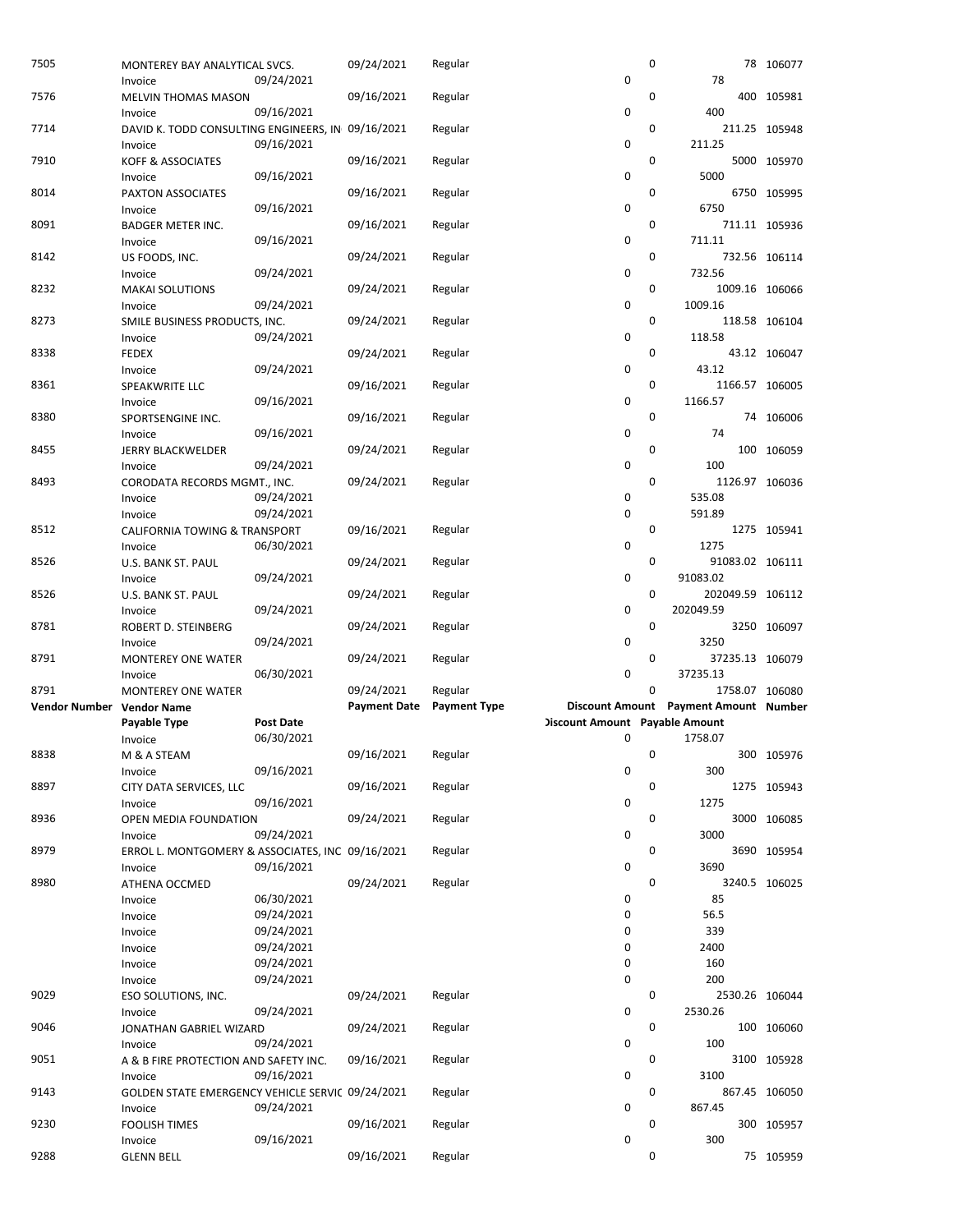| 7505                      | MONTEREY BAY ANALYTICAL SVCS.<br>Invoice                     | 09/24/2021               | 09/24/2021          | Regular             | $\mathbf 0$                           | 0 | 78                                    | 78 106077     |
|---------------------------|--------------------------------------------------------------|--------------------------|---------------------|---------------------|---------------------------------------|---|---------------------------------------|---------------|
| 7576                      | MELVIN THOMAS MASON<br>Invoice                               | 09/16/2021               | 09/16/2021          | Regular             | 0                                     | 0 | 400                                   | 400 105981    |
| 7714                      | DAVID K. TODD CONSULTING ENGINEERS, IN 09/16/2021<br>Invoice | 09/16/2021               |                     | Regular             | 0                                     | 0 | 211.25                                | 211.25 105948 |
| 7910                      | <b>KOFF &amp; ASSOCIATES</b><br>Invoice                      | 09/16/2021               | 09/16/2021          | Regular             | 0                                     | 0 | 5000                                  | 5000 105970   |
| 8014                      | PAXTON ASSOCIATES<br>Invoice                                 | 09/16/2021               | 09/16/2021          | Regular             | $\mathbf 0$                           | 0 | 6750                                  | 6750 105995   |
| 8091                      | <b>BADGER METER INC.</b><br>Invoice                          | 09/16/2021               | 09/16/2021          | Regular             | 0                                     | 0 | 711.11                                | 711.11 105936 |
| 8142                      | US FOODS, INC.<br>Invoice                                    | 09/24/2021               | 09/24/2021          | Regular             | 0                                     | 0 | 732.56                                | 732.56 106114 |
| 8232                      | <b>MAKAI SOLUTIONS</b><br>Invoice                            | 09/24/2021               | 09/24/2021          | Regular             | 0                                     | 0 | 1009.16 106066<br>1009.16             |               |
| 8273                      | SMILE BUSINESS PRODUCTS, INC.<br>Invoice                     | 09/24/2021               | 09/24/2021          | Regular             | $\mathbf 0$                           | 0 | 118.58                                | 118.58 106104 |
| 8338                      | <b>FEDEX</b><br>Invoice                                      | 09/24/2021               | 09/24/2021          | Regular             | $\mathbf 0$                           | 0 | 43.12                                 | 43.12 106047  |
| 8361                      | <b>SPEAKWRITE LLC</b><br>Invoice                             | 09/16/2021               | 09/16/2021          | Regular             | 0                                     | 0 | 1166.57 106005<br>1166.57             |               |
| 8380                      | SPORTSENGINE INC.                                            | 09/16/2021               | 09/16/2021          | Regular             | 0                                     | 0 | 74                                    | 74 106006     |
| 8455                      | Invoice<br><b>JERRY BLACKWELDER</b>                          |                          | 09/24/2021          | Regular             | 0                                     | 0 | 100                                   | 100 106059    |
| 8493                      | Invoice<br>CORODATA RECORDS MGMT., INC.                      | 09/24/2021               | 09/24/2021          | Regular             |                                       | 0 | 1126.97 106036<br>535.08              |               |
|                           | Invoice<br>Invoice                                           | 09/24/2021<br>09/24/2021 |                     |                     | 0<br>0                                |   | 591.89                                |               |
| 8512                      | CALIFORNIA TOWING & TRANSPORT<br>Invoice                     | 06/30/2021               | 09/16/2021          | Regular             | 0                                     | 0 | 1275                                  | 1275 105941   |
| 8526                      | U.S. BANK ST. PAUL<br>Invoice                                | 09/24/2021               | 09/24/2021          | Regular             | 0                                     | 0 | 91083.02 106111<br>91083.02           |               |
| 8526                      | U.S. BANK ST. PAUL<br>Invoice                                | 09/24/2021               | 09/24/2021          | Regular             | 0                                     | 0 | 202049.59 106112<br>202049.59         |               |
| 8781                      | ROBERT D. STEINBERG<br>Invoice                               | 09/24/2021               | 09/24/2021          | Regular             | 0                                     | 0 | 3250                                  | 3250 106097   |
| 8791                      | <b>MONTEREY ONE WATER</b><br>Invoice                         | 06/30/2021               | 09/24/2021          | Regular             | $\mathbf 0$                           | 0 | 37235.13 106079<br>37235.13           |               |
| 8791                      | <b>MONTEREY ONE WATER</b>                                    |                          | 09/24/2021          | Regular             |                                       | 0 | 1758.07 106080                        |               |
|                           |                                                              |                          | <b>Payment Date</b> | <b>Payment Type</b> |                                       |   | Discount Amount Payment Amount Number |               |
| Vendor Number Vendor Name |                                                              |                          |                     |                     |                                       |   |                                       |               |
|                           | Payable Type                                                 | Post Date                |                     |                     | <b>Discount Amount</b> Payable Amount |   |                                       |               |
|                           | Invoice                                                      | 06/30/2021               |                     |                     | 0                                     |   | 1758.07                               |               |
| 8838                      | M & A STEAM<br>Invoice                                       | 09/16/2021               | 09/16/2021          | Regular             | 0                                     | 0 | 300                                   | 300 105976    |
| 8897                      | CITY DATA SERVICES, LLC<br>Invoice                           | 09/16/2021               | 09/16/2021          | Regular             | 0                                     | 0 | 1275                                  | 1275 105943   |
| 8936                      | OPEN MEDIA FOUNDATION<br>Invoice                             | 09/24/2021               | 09/24/2021          | Regular             | 0                                     | 0 | 3000                                  | 3000 106085   |
| 8979                      | ERROL L. MONTGOMERY & ASSOCIATES, INC 09/16/2021<br>Invoice  | 09/16/2021               |                     | Regular             | 0                                     | 0 | 3690                                  | 3690 105954   |
| 8980                      | ATHENA OCCMED                                                |                          | 09/24/2021          | Regular             |                                       | 0 |                                       | 3240.5 106025 |
|                           | Invoice                                                      | 06/30/2021               |                     |                     | 0                                     |   | 85                                    |               |
|                           | Invoice                                                      | 09/24/2021               |                     |                     | 0                                     |   | 56.5                                  |               |
|                           | Invoice                                                      | 09/24/2021               |                     |                     | 0                                     |   | 339                                   |               |
|                           | Invoice                                                      | 09/24/2021               |                     |                     | 0                                     |   | 2400                                  |               |
|                           | Invoice                                                      | 09/24/2021               |                     |                     | 0                                     |   | 160                                   |               |
|                           | Invoice                                                      | 09/24/2021               |                     |                     | 0                                     |   | 200                                   |               |
| 9029                      | ESO SOLUTIONS, INC.<br>Invoice                               | 09/24/2021               | 09/24/2021          | Regular             | $\mathbf 0$                           | 0 | 2530.26 106044<br>2530.26             |               |
| 9046                      | JONATHAN GABRIEL WIZARD<br>Invoice                           | 09/24/2021               | 09/24/2021          | Regular             | 0                                     | 0 | 100                                   | 100 106060    |
| 9051                      | A & B FIRE PROTECTION AND SAFETY INC.<br>Invoice             | 09/16/2021               | 09/16/2021          | Regular             | 0                                     | 0 | 3100                                  | 3100 105928   |
| 9143                      | GOLDEN STATE EMERGENCY VEHICLE SERVIC 09/24/2021<br>Invoice  | 09/24/2021               |                     | Regular             | 0                                     | 0 | 867.45                                | 867.45 106050 |
| 9230                      | <b>FOOLISH TIMES</b><br>Invoice                              | 09/16/2021               | 09/16/2021          | Regular             | $\mathbf 0$                           | 0 | 300                                   | 300 105957    |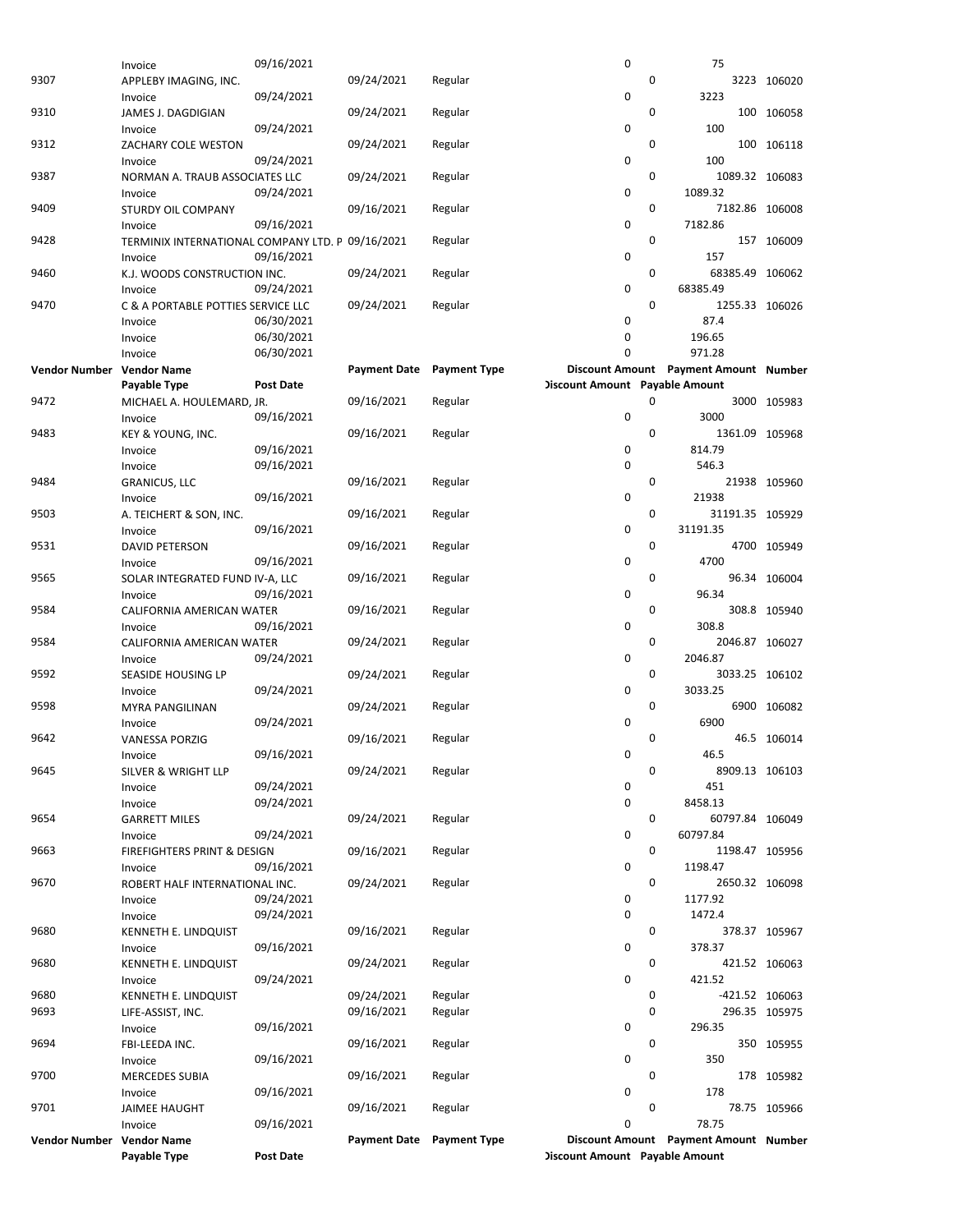|                           | Invoice                                          | 09/16/2021       |                     |                           | 0                                     |             | 75                                    |                |
|---------------------------|--------------------------------------------------|------------------|---------------------|---------------------------|---------------------------------------|-------------|---------------------------------------|----------------|
| 9307                      | APPLEBY IMAGING, INC.                            |                  | 09/24/2021          | Regular                   |                                       | 0           |                                       | 3223 106020    |
|                           |                                                  |                  |                     |                           | 0                                     |             | 3223                                  |                |
|                           | Invoice                                          | 09/24/2021       |                     |                           |                                       |             |                                       |                |
| 9310                      | JAMES J. DAGDIGIAN                               |                  | 09/24/2021          | Regular                   |                                       | 0           |                                       | 100 106058     |
|                           | Invoice                                          | 09/24/2021       |                     |                           | 0                                     |             | 100                                   |                |
| 9312                      | ZACHARY COLE WESTON                              |                  | 09/24/2021          | Regular                   |                                       | 0           |                                       | 100 106118     |
|                           |                                                  | 09/24/2021       |                     |                           | $\mathbf 0$                           |             | 100                                   |                |
|                           | Invoice                                          |                  |                     |                           |                                       |             |                                       |                |
| 9387                      | NORMAN A. TRAUB ASSOCIATES LLC                   |                  | 09/24/2021          | Regular                   |                                       | $\mathbf 0$ | 1089.32 106083                        |                |
|                           | Invoice                                          | 09/24/2021       |                     |                           | 0                                     |             | 1089.32                               |                |
| 9409                      | STURDY OIL COMPANY                               |                  | 09/16/2021          | Regular                   |                                       | 0           | 7182.86 106008                        |                |
|                           |                                                  |                  |                     |                           |                                       |             |                                       |                |
|                           | Invoice                                          | 09/16/2021       |                     |                           | 0                                     |             | 7182.86                               |                |
| 9428                      | TERMINIX INTERNATIONAL COMPANY LTD. P 09/16/2021 |                  |                     | Regular                   |                                       | 0           |                                       | 157 106009     |
|                           | Invoice                                          | 09/16/2021       |                     |                           | 0                                     |             | 157                                   |                |
| 9460                      | K.J. WOODS CONSTRUCTION INC.                     |                  | 09/24/2021          | Regular                   |                                       | 0           | 68385.49 106062                       |                |
|                           |                                                  |                  |                     |                           | 0                                     |             | 68385.49                              |                |
|                           | Invoice                                          | 09/24/2021       |                     |                           |                                       |             |                                       |                |
| 9470                      | C & A PORTABLE POTTIES SERVICE LLC               |                  | 09/24/2021          | Regular                   |                                       | $\mathbf 0$ | 1255.33 106026                        |                |
|                           | Invoice                                          | 06/30/2021       |                     |                           | 0                                     |             | 87.4                                  |                |
|                           | Invoice                                          | 06/30/2021       |                     |                           | $\mathbf 0$                           |             | 196.65                                |                |
|                           | Invoice                                          | 06/30/2021       |                     |                           | 0                                     |             | 971.28                                |                |
|                           |                                                  |                  |                     |                           |                                       |             |                                       |                |
| Vendor Number Vendor Name |                                                  |                  | <b>Payment Date</b> | <b>Payment Type</b>       |                                       |             | Discount Amount Payment Amount Number |                |
|                           | Payable Type                                     | <b>Post Date</b> |                     |                           | <b>Discount Amount Payable Amount</b> |             |                                       |                |
| 9472                      | MICHAEL A. HOULEMARD, JR.                        |                  | 09/16/2021          | Regular                   |                                       | 0           |                                       | 3000 105983    |
|                           | Invoice                                          | 09/16/2021       |                     |                           | $\pmb{0}$                             |             | 3000                                  |                |
|                           |                                                  |                  |                     |                           |                                       |             |                                       |                |
| 9483                      | KEY & YOUNG, INC.                                |                  | 09/16/2021          | Regular                   |                                       | $\mathbf 0$ | 1361.09 105968                        |                |
|                           | Invoice                                          | 09/16/2021       |                     |                           | 0                                     |             | 814.79                                |                |
|                           | Invoice                                          | 09/16/2021       |                     |                           | 0                                     |             | 546.3                                 |                |
| 9484                      | <b>GRANICUS, LLC</b>                             |                  | 09/16/2021          | Regular                   |                                       | 0           |                                       | 21938 105960   |
|                           |                                                  |                  |                     |                           |                                       |             |                                       |                |
|                           | Invoice                                          | 09/16/2021       |                     |                           | 0                                     |             | 21938                                 |                |
| 9503                      | A. TEICHERT & SON, INC.                          |                  | 09/16/2021          | Regular                   |                                       | 0           | 31191.35 105929                       |                |
|                           | Invoice                                          | 09/16/2021       |                     |                           | 0                                     |             | 31191.35                              |                |
| 9531                      | DAVID PETERSON                                   |                  | 09/16/2021          | Regular                   |                                       | 0           |                                       | 4700 105949    |
|                           |                                                  |                  |                     |                           | $\mathbf 0$                           |             | 4700                                  |                |
|                           | Invoice                                          | 09/16/2021       |                     |                           |                                       |             |                                       |                |
| 9565                      | SOLAR INTEGRATED FUND IV-A, LLC                  |                  | 09/16/2021          | Regular                   |                                       | $\mathbf 0$ |                                       | 96.34 106004   |
|                           | Invoice                                          | 09/16/2021       |                     |                           | 0                                     |             | 96.34                                 |                |
| 9584                      | CALIFORNIA AMERICAN WATER                        |                  | 09/16/2021          | Regular                   |                                       | 0           |                                       | 308.8 105940   |
|                           |                                                  |                  |                     |                           |                                       |             |                                       |                |
|                           | Invoice                                          | 09/16/2021       |                     |                           | 0                                     |             | 308.8                                 |                |
| 9584                      | CALIFORNIA AMERICAN WATER                        |                  | 09/24/2021          | Regular                   |                                       | 0           | 2046.87 106027                        |                |
|                           | Invoice                                          | 09/24/2021       |                     |                           | 0                                     |             | 2046.87                               |                |
| 9592                      | SEASIDE HOUSING LP                               |                  | 09/24/2021          | Regular                   |                                       | 0           | 3033.25 106102                        |                |
|                           |                                                  | 09/24/2021       |                     |                           | 0                                     |             | 3033.25                               |                |
|                           | Invoice                                          |                  |                     |                           |                                       |             |                                       |                |
| 9598                      | <b>MYRA PANGILINAN</b>                           |                  | 09/24/2021          | Regular                   |                                       | $\mathbf 0$ |                                       | 6900 106082    |
|                           | Invoice                                          | 09/24/2021       |                     |                           | 0                                     |             | 6900                                  |                |
| 9642                      | <b>VANESSA PORZIG</b>                            |                  | 09/16/2021          | Regular                   |                                       | 0           |                                       | 46.5 106014    |
|                           |                                                  | 09/16/2021       |                     |                           | 0                                     |             | 46.5                                  |                |
|                           | Invoice                                          |                  |                     |                           |                                       |             |                                       |                |
| 9645                      | SILVER & WRIGHT LLP                              |                  | 09/24/2021          | Regular                   |                                       | 0           | 8909.13 106103                        |                |
|                           | Invoice                                          | 09/24/2021       |                     |                           | 0                                     |             | 451                                   |                |
|                           | Invoice                                          | 09/24/2021       |                     |                           | 0                                     |             | 8458.13                               |                |
| 9654                      | <b>GARRETT MILES</b>                             |                  | 09/24/2021          | Regular                   |                                       | 0           | 60797.84 106049                       |                |
|                           |                                                  |                  |                     |                           |                                       |             |                                       |                |
|                           | Invoice                                          | 09/24/2021       |                     |                           | 0                                     |             | 60797.84                              |                |
| 9663                      | FIREFIGHTERS PRINT & DESIGN                      |                  | 09/16/2021          | Regular                   |                                       | 0           | 1198.47 105956                        |                |
|                           | Invoice                                          | 09/16/2021       |                     |                           | 0                                     |             | 1198.47                               |                |
| 9670                      | ROBERT HALF INTERNATIONAL INC.                   |                  | 09/24/2021          | Regular                   |                                       | 0           | 2650.32 106098                        |                |
|                           |                                                  |                  |                     |                           |                                       |             |                                       |                |
|                           | Invoice                                          | 09/24/2021       |                     |                           | 0                                     |             | 1177.92                               |                |
|                           | Invoice                                          | 09/24/2021       |                     |                           | 0                                     |             | 1472.4                                |                |
| 9680                      | KENNETH E. LINDQUIST                             |                  | 09/16/2021          | Regular                   |                                       | 0           |                                       | 378.37 105967  |
|                           | Invoice                                          | 09/16/2021       |                     |                           | 0                                     |             | 378.37                                |                |
| 9680                      |                                                  |                  |                     |                           |                                       | 0           |                                       |                |
|                           | KENNETH E. LINDQUIST                             |                  | 09/24/2021          | Regular                   |                                       |             |                                       | 421.52 106063  |
|                           | Invoice                                          | 09/24/2021       |                     |                           | 0                                     |             | 421.52                                |                |
| 9680                      | KENNETH E. LINDQUIST                             |                  | 09/24/2021          | Regular                   |                                       | 0           |                                       | -421.52 106063 |
| 9693                      | LIFE-ASSIST, INC.                                |                  | 09/16/2021          | Regular                   |                                       | 0           |                                       | 296.35 105975  |
|                           |                                                  |                  |                     |                           | 0                                     |             | 296.35                                |                |
|                           | Invoice                                          | 09/16/2021       |                     |                           |                                       |             |                                       |                |
| 9694                      | FBI-LEEDA INC.                                   |                  | 09/16/2021          | Regular                   |                                       | 0           |                                       | 350 105955     |
|                           | Invoice                                          | 09/16/2021       |                     |                           | 0                                     |             | 350                                   |                |
| 9700                      | <b>MERCEDES SUBIA</b>                            |                  | 09/16/2021          | Regular                   |                                       | 0           |                                       | 178 105982     |
|                           | Invoice                                          | 09/16/2021       |                     |                           | 0                                     |             | 178                                   |                |
|                           |                                                  |                  |                     |                           |                                       |             |                                       |                |
| 9701                      | <b>JAIMEE HAUGHT</b>                             |                  | 09/16/2021          | Regular                   |                                       | 0           |                                       | 78.75 105966   |
|                           | Invoice                                          | 09/16/2021       |                     |                           | 0                                     |             | 78.75                                 |                |
| Vendor Number Vendor Name |                                                  |                  |                     | Payment Date Payment Type |                                       |             | Discount Amount Payment Amount Number |                |
|                           | Payable Type                                     | Post Date        |                     |                           | <b>Discount Amount Payable Amount</b> |             |                                       |                |
|                           |                                                  |                  |                     |                           |                                       |             |                                       |                |